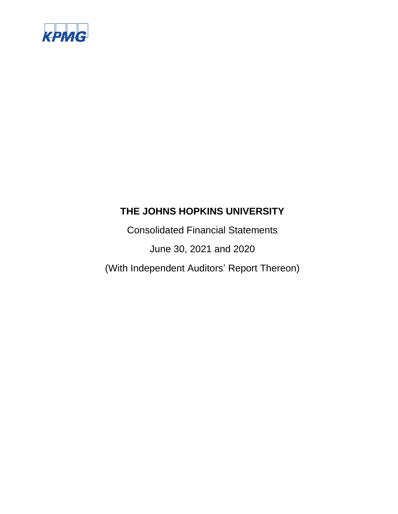

Consolidated Financial Statements June 30, 2021 and 2020 (With Independent Auditors' Report Thereon)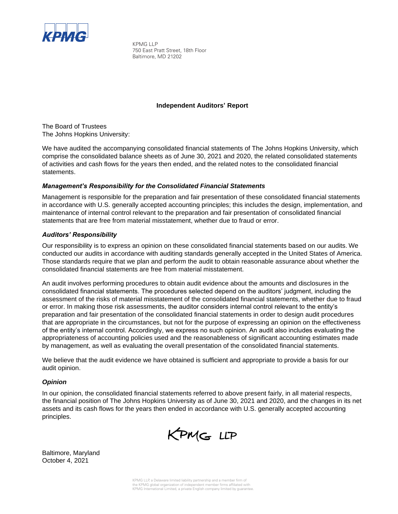

KPMG LLP 750 East Pratt Street, 18th Floor Baltimore, MD 21202

## **Independent Auditors' Report**

The Board of Trustees The Johns Hopkins University:

We have audited the accompanying consolidated financial statements of The Johns Hopkins University, which comprise the consolidated balance sheets as of June 30, 2021 and 2020, the related consolidated statements of activities and cash flows for the years then ended, and the related notes to the consolidated financial statements.

# *Management's Responsibility for the Consolidated Financial Statements*

Management is responsible for the preparation and fair presentation of these consolidated financial statements in accordance with U.S. generally accepted accounting principles; this includes the design, implementation, and maintenance of internal control relevant to the preparation and fair presentation of consolidated financial statements that are free from material misstatement, whether due to fraud or error.

## *Auditors' Responsibility*

Our responsibility is to express an opinion on these consolidated financial statements based on our audits. We conducted our audits in accordance with auditing standards generally accepted in the United States of America. Those standards require that we plan and perform the audit to obtain reasonable assurance about whether the consolidated financial statements are free from material misstatement.

An audit involves performing procedures to obtain audit evidence about the amounts and disclosures in the consolidated financial statements. The procedures selected depend on the auditors' judgment, including the assessment of the risks of material misstatement of the consolidated financial statements, whether due to fraud or error. In making those risk assessments, the auditor considers internal control relevant to the entity's preparation and fair presentation of the consolidated financial statements in order to design audit procedures that are appropriate in the circumstances, but not for the purpose of expressing an opinion on the effectiveness of the entity's internal control. Accordingly, we express no such opinion. An audit also includes evaluating the appropriateness of accounting policies used and the reasonableness of significant accounting estimates made by management, as well as evaluating the overall presentation of the consolidated financial statements.

We believe that the audit evidence we have obtained is sufficient and appropriate to provide a basis for our audit opinion.

# *Opinion*

In our opinion, the consolidated financial statements referred to above present fairly, in all material respects, the financial position of The Johns Hopkins University as of June 30, 2021 and 2020, and the changes in its net assets and its cash flows for the years then ended in accordance with U.S. generally accepted accounting principles.



Baltimore, Maryland October 4, 2021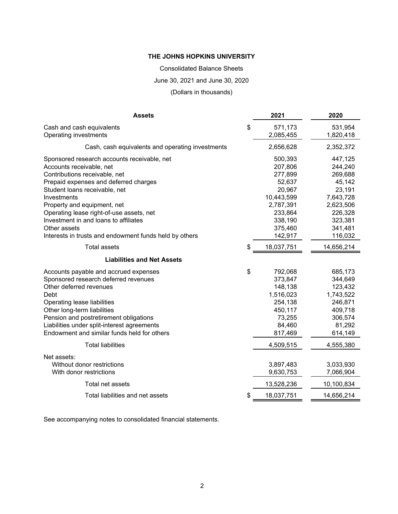Consolidated Balance Sheets

June 30, 2021 and June 30, 2020

(Dollars in thousands)

| <b>Assets</b>                                                                                                                                                                                                                                                                                                                                                                                   | 2021                                                                                                                     | 2020                                                                                                                    |
|-------------------------------------------------------------------------------------------------------------------------------------------------------------------------------------------------------------------------------------------------------------------------------------------------------------------------------------------------------------------------------------------------|--------------------------------------------------------------------------------------------------------------------------|-------------------------------------------------------------------------------------------------------------------------|
| Cash and cash equivalents<br>Operating investments                                                                                                                                                                                                                                                                                                                                              | \$<br>571,173<br>2,085,455                                                                                               | 531,954<br>1,820,418                                                                                                    |
| Cash, cash equivalents and operating investments                                                                                                                                                                                                                                                                                                                                                | 2,656,628                                                                                                                | 2,352,372                                                                                                               |
| Sponsored research accounts receivable, net<br>Accounts receivable, net<br>Contributions receivable, net<br>Prepaid expenses and deferred charges<br>Student loans receivable, net<br>Investments<br>Property and equipment, net<br>Operating lease right-of-use assets, net<br>Investment in and loans to affiliates<br>Other assets<br>Interests in trusts and endowment funds held by others | 500,393<br>207,806<br>277,899<br>52,637<br>20,967<br>10,443,599<br>2,787,391<br>233,864<br>338,190<br>375,460<br>142,917 | 447,125<br>244,240<br>269,688<br>45,142<br>23,191<br>7,643,728<br>2,623,506<br>226,328<br>323,381<br>341,481<br>116,032 |
| <b>Total assets</b>                                                                                                                                                                                                                                                                                                                                                                             | \$<br>18,037,751                                                                                                         | 14,656,214                                                                                                              |
| <b>Liabilities and Net Assets</b>                                                                                                                                                                                                                                                                                                                                                               |                                                                                                                          |                                                                                                                         |
| Accounts payable and accrued expenses<br>Sponsored research deferred revenues<br>Other deferred revenues<br>Debt<br>Operating lease liabilities<br>Other long-term liabilities<br>Pension and postretirement obligations<br>Liabilities under split-interest agreements<br>Endowment and similar funds held for others                                                                          | \$<br>792,068<br>373,847<br>148,138<br>1,516,023<br>254,138<br>450,117<br>73,255<br>84,460<br>817,469                    | 685,173<br>344,649<br>123,432<br>1,743,522<br>246,871<br>409,718<br>306,574<br>81,292<br>614,149                        |
| <b>Total liabilities</b>                                                                                                                                                                                                                                                                                                                                                                        | 4,509,515                                                                                                                | 4,555,380                                                                                                               |
| Net assets:<br>Without donor restrictions<br>With donor restrictions                                                                                                                                                                                                                                                                                                                            | 3,897,483<br>9,630,753                                                                                                   | 3,033,930<br>7,066,904                                                                                                  |
| Total net assets                                                                                                                                                                                                                                                                                                                                                                                | 13,528,236                                                                                                               | 10,100,834                                                                                                              |
| Total liabilities and net assets                                                                                                                                                                                                                                                                                                                                                                | \$<br>18,037,751                                                                                                         | 14,656,214                                                                                                              |

See accompanying notes to consolidated financial statements.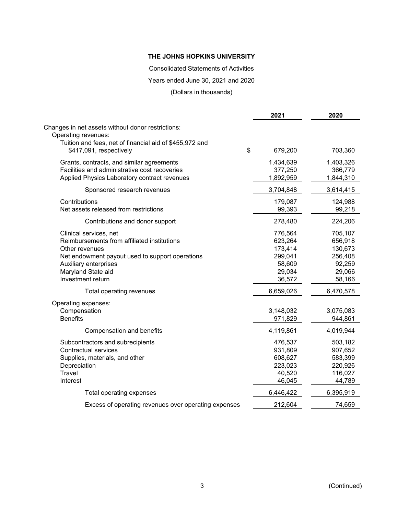Consolidated Statements of Activities

Years ended June 30, 2021 and 2020

(Dollars in thousands)

|                                                                                                                                                                                                                | 2021                                                                   | 2020                                                                   |
|----------------------------------------------------------------------------------------------------------------------------------------------------------------------------------------------------------------|------------------------------------------------------------------------|------------------------------------------------------------------------|
| Changes in net assets without donor restrictions:<br>Operating revenues:<br>Tuition and fees, net of financial aid of \$455,972 and                                                                            |                                                                        |                                                                        |
| \$417,091, respectively                                                                                                                                                                                        | \$<br>679,200                                                          | 703,360                                                                |
| Grants, contracts, and similar agreements<br>Facilities and administrative cost recoveries<br>Applied Physics Laboratory contract revenues                                                                     | 1,434,639<br>377,250<br>1,892,959                                      | 1,403,326<br>366,779<br>1,844,310                                      |
| Sponsored research revenues                                                                                                                                                                                    | 3,704,848                                                              | 3,614,415                                                              |
| Contributions<br>Net assets released from restrictions                                                                                                                                                         | 179,087<br>99,393                                                      | 124,988<br>99,218                                                      |
| Contributions and donor support                                                                                                                                                                                | 278,480                                                                | 224,206                                                                |
| Clinical services, net<br>Reimbursements from affiliated institutions<br>Other revenues<br>Net endowment payout used to support operations<br>Auxiliary enterprises<br>Maryland State aid<br>Investment return | 776,564<br>623,264<br>173,414<br>299,041<br>58,609<br>29,034<br>36,572 | 705,107<br>656,918<br>130,673<br>256,408<br>92,259<br>29,066<br>58,166 |
| Total operating revenues                                                                                                                                                                                       | 6,659,026                                                              | 6,470,578                                                              |
| Operating expenses:<br>Compensation<br><b>Benefits</b>                                                                                                                                                         | 3,148,032<br>971,829                                                   | 3,075,083<br>944,861                                                   |
| Compensation and benefits                                                                                                                                                                                      | 4,119,861                                                              | 4,019,944                                                              |
| Subcontractors and subrecipients<br><b>Contractual services</b><br>Supplies, materials, and other<br>Depreciation<br>Travel<br>Interest                                                                        | 476,537<br>931,809<br>608,627<br>223,023<br>40,520<br>46,045           | 503,182<br>907,652<br>583,399<br>220,926<br>116,027<br>44,789          |
| Total operating expenses                                                                                                                                                                                       | 6,446,422                                                              | 6,395,919                                                              |
| Excess of operating revenues over operating expenses                                                                                                                                                           | 212,604                                                                | 74,659                                                                 |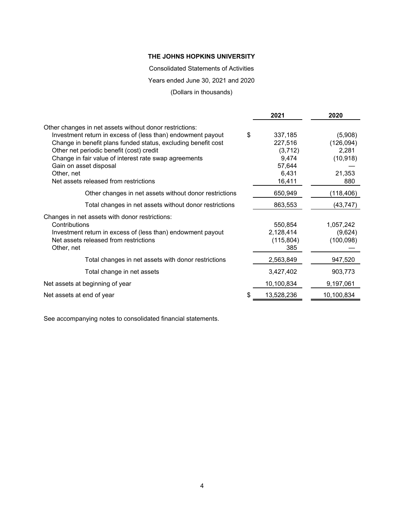Consolidated Statements of Activities

Years ended June 30, 2021 and 2020

(Dollars in thousands)

|                                                               | 2021             | 2020       |
|---------------------------------------------------------------|------------------|------------|
| Other changes in net assets without donor restrictions:       |                  |            |
| Investment return in excess of (less than) endowment payout   | \$<br>337,185    | (5,908)    |
| Change in benefit plans funded status, excluding benefit cost | 227,516          | (126, 094) |
| Other net periodic benefit (cost) credit                      | (3,712)          | 2,281      |
| Change in fair value of interest rate swap agreements         | 9,474            | (10, 918)  |
| Gain on asset disposal                                        | 57,644           |            |
| Other, net                                                    | 6,431            | 21,353     |
| Net assets released from restrictions                         | 16,411           | 880        |
| Other changes in net assets without donor restrictions        | 650,949          | (118, 406) |
| Total changes in net assets without donor restrictions        | 863,553          | (43,747)   |
| Changes in net assets with donor restrictions:                |                  |            |
| Contributions                                                 | 550,854          | 1,057,242  |
| Investment return in excess of (less than) endowment payout   | 2,128,414        | (9,624)    |
| Net assets released from restrictions                         | (115, 804)       | (100, 098) |
| Other, net                                                    | 385              |            |
| Total changes in net assets with donor restrictions           | 2,563,849        | 947,520    |
| Total change in net assets                                    | 3,427,402        | 903,773    |
| Net assets at beginning of year                               | 10,100,834       | 9,197,061  |
| Net assets at end of year                                     | \$<br>13,528,236 | 10,100,834 |
|                                                               |                  |            |

See accompanying notes to consolidated financial statements.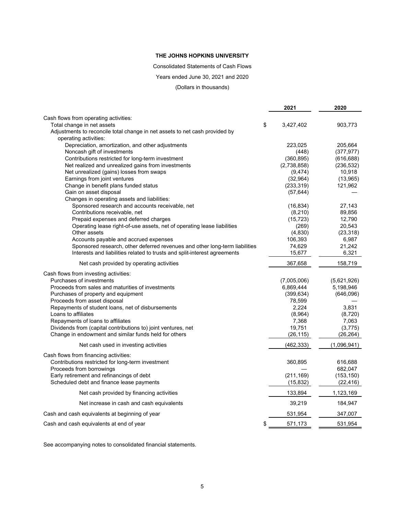Consolidated Statements of Cash Flows

Years ended June 30, 2021 and 2020

(Dollars in thousands)

|                                                                                                                      | 2021                  | 2020               |
|----------------------------------------------------------------------------------------------------------------------|-----------------------|--------------------|
| Cash flows from operating activities:                                                                                |                       |                    |
| Total change in net assets                                                                                           | \$<br>3,427,402       | 903,773            |
| Adjustments to reconcile total change in net assets to net cash provided by                                          |                       |                    |
| operating activities:                                                                                                |                       |                    |
| Depreciation, amortization, and other adjustments                                                                    | 223,025               | 205,664            |
| Noncash gift of investments                                                                                          | (448)                 | (377, 977)         |
| Contributions restricted for long-term investment                                                                    | (360, 895)            | (616, 688)         |
| Net realized and unrealized gains from investments                                                                   | (2,738,858)           | (236, 532)         |
| Net unrealized (gains) losses from swaps                                                                             | (9, 474)              | 10,918             |
| Earnings from joint ventures                                                                                         | (32, 964)             | (13,965)           |
| Change in benefit plans funded status                                                                                | (233, 319)            | 121,962            |
| Gain on asset disposal                                                                                               | (57, 644)             |                    |
| Changes in operating assets and liabilities:                                                                         |                       |                    |
| Sponsored research and accounts receivable, net                                                                      | (16, 834)             | 27,143<br>89,856   |
| Contributions receivable, net<br>Prepaid expenses and deferred charges                                               | (8, 210)<br>(15, 723) | 12,790             |
| Operating lease right-of-use assets, net of operating lease liabilities                                              | (269)                 | 20,543             |
| Other assets                                                                                                         | (4,830)               |                    |
|                                                                                                                      | 106,393               | (23, 318)<br>6,987 |
| Accounts payable and accrued expenses<br>Sponsored research, other deferred revenues and other long-term liabilities | 74,629                | 21,242             |
| Interests and liabilities related to trusts and split-interest agreements                                            | 15,677                | 6,321              |
|                                                                                                                      |                       |                    |
| Net cash provided by operating activities                                                                            | 367,658               | 158,719            |
| Cash flows from investing activities:                                                                                |                       |                    |
| Purchases of investments                                                                                             | (7,005,006)           | (5,621,926)        |
| Proceeds from sales and maturities of investments                                                                    | 6,869,444             | 5,198,946          |
| Purchases of property and equipment                                                                                  | (399, 634)            | (646,096)          |
| Proceeds from asset disposal                                                                                         | 78,599                |                    |
| Repayments of student loans, net of disbursements                                                                    | 2,224                 | 3,831              |
| Loans to affiliates                                                                                                  | (8,964)               | (8,720)            |
| Repayments of loans to affiliates                                                                                    | 7,368                 | 7,063              |
| Dividends from (capital contributions to) joint ventures, net                                                        | 19,751                | (3,775)            |
| Change in endowment and similar funds held for others                                                                | (26, 115)             | (26, 264)          |
| Net cash used in investing activities                                                                                | (462,333)             | (1,096,941)        |
| Cash flows from financing activities:                                                                                |                       |                    |
| Contributions restricted for long-term investment                                                                    | 360,895               | 616,688            |
| Proceeds from borrowings                                                                                             |                       | 682,047            |
| Early retirement and refinancings of debt                                                                            | (211, 169)            | (153, 150)         |
| Scheduled debt and finance lease payments                                                                            | (15, 832)             | (22, 416)          |
| Net cash provided by financing activities                                                                            | 133,894               | 1,123,169          |
| Net increase in cash and cash equivalents                                                                            | 39,219                | 184,947            |
| Cash and cash equivalents at beginning of year                                                                       | 531,954               | 347,007            |
| Cash and cash equivalents at end of year                                                                             | \$<br>571,173         | 531,954            |

See accompanying notes to consolidated financial statements.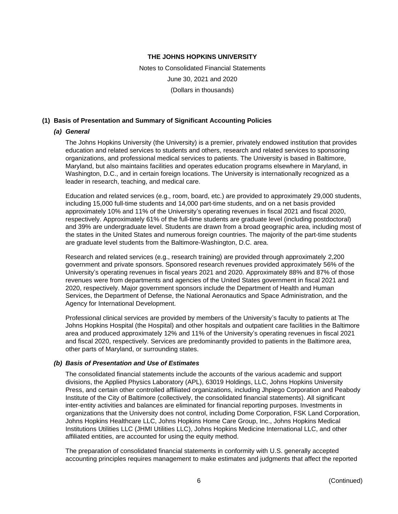Notes to Consolidated Financial Statements June 30, 2021 and 2020 (Dollars in thousands)

## **(1) Basis of Presentation and Summary of Significant Accounting Policies**

## *(a) General*

The Johns Hopkins University (the University) is a premier, privately endowed institution that provides education and related services to students and others, research and related services to sponsoring organizations, and professional medical services to patients. The University is based in Baltimore, Maryland, but also maintains facilities and operates education programs elsewhere in Maryland, in Washington, D.C., and in certain foreign locations. The University is internationally recognized as a leader in research, teaching, and medical care.

Education and related services (e.g., room, board, etc.) are provided to approximately 29,000 students, including 15,000 full-time students and 14,000 part-time students, and on a net basis provided approximately 10% and 11% of the University's operating revenues in fiscal 2021 and fiscal 2020, respectively. Approximately 61% of the full-time students are graduate level (including postdoctoral) and 39% are undergraduate level. Students are drawn from a broad geographic area, including most of the states in the United States and numerous foreign countries. The majority of the part-time students are graduate level students from the Baltimore-Washington, D.C. area.

Research and related services (e.g., research training) are provided through approximately 2,200 government and private sponsors. Sponsored research revenues provided approximately 56% of the University's operating revenues in fiscal years 2021 and 2020. Approximately 88% and 87% of those revenues were from departments and agencies of the United States government in fiscal 2021 and 2020, respectively. Major government sponsors include the Department of Health and Human Services, the Department of Defense, the National Aeronautics and Space Administration, and the Agency for International Development.

Professional clinical services are provided by members of the University's faculty to patients at The Johns Hopkins Hospital (the Hospital) and other hospitals and outpatient care facilities in the Baltimore area and produced approximately 12% and 11% of the University's operating revenues in fiscal 2021 and fiscal 2020, respectively. Services are predominantly provided to patients in the Baltimore area, other parts of Maryland, or surrounding states.

#### *(b) Basis of Presentation and Use of Estimates*

The consolidated financial statements include the accounts of the various academic and support divisions, the Applied Physics Laboratory (APL), 63019 Holdings, LLC, Johns Hopkins University Press, and certain other controlled affiliated organizations, including Jhpiego Corporation and Peabody Institute of the City of Baltimore (collectively, the consolidated financial statements). All significant inter-entity activities and balances are eliminated for financial reporting purposes. Investments in organizations that the University does not control, including Dome Corporation, FSK Land Corporation, Johns Hopkins Healthcare LLC, Johns Hopkins Home Care Group, Inc., Johns Hopkins Medical Institutions Utilities LLC (JHMI Utilities LLC), Johns Hopkins Medicine International LLC, and other affiliated entities, are accounted for using the equity method.

The preparation of consolidated financial statements in conformity with U.S. generally accepted accounting principles requires management to make estimates and judgments that affect the reported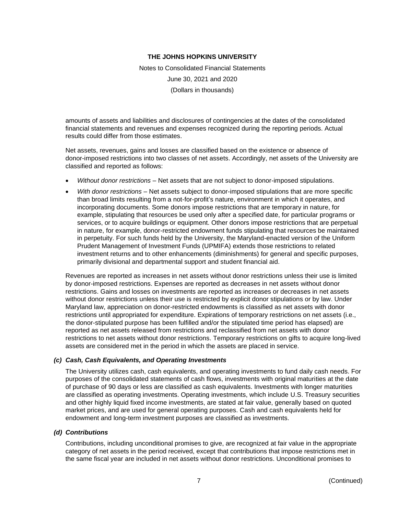Notes to Consolidated Financial Statements June 30, 2021 and 2020 (Dollars in thousands)

amounts of assets and liabilities and disclosures of contingencies at the dates of the consolidated financial statements and revenues and expenses recognized during the reporting periods. Actual results could differ from those estimates.

Net assets, revenues, gains and losses are classified based on the existence or absence of donor-imposed restrictions into two classes of net assets. Accordingly, net assets of the University are classified and reported as follows:

- *Without donor restrictions –* Net assets that are not subject to donor-imposed stipulations.
- *With donor restrictions* Net assets subject to donor-imposed stipulations that are more specific than broad limits resulting from a not-for-profit's nature, environment in which it operates, and incorporating documents. Some donors impose restrictions that are temporary in nature, for example, stipulating that resources be used only after a specified date, for particular programs or services, or to acquire buildings or equipment. Other donors impose restrictions that are perpetual in nature, for example, donor-restricted endowment funds stipulating that resources be maintained in perpetuity. For such funds held by the University, the Maryland-enacted version of the Uniform Prudent Management of Investment Funds (UPMIFA) extends those restrictions to related investment returns and to other enhancements (diminishments) for general and specific purposes, primarily divisional and departmental support and student financial aid.

Revenues are reported as increases in net assets without donor restrictions unless their use is limited by donor-imposed restrictions. Expenses are reported as decreases in net assets without donor restrictions. Gains and losses on investments are reported as increases or decreases in net assets without donor restrictions unless their use is restricted by explicit donor stipulations or by law. Under Maryland law, appreciation on donor-restricted endowments is classified as net assets with donor restrictions until appropriated for expenditure. Expirations of temporary restrictions on net assets (i.e., the donor-stipulated purpose has been fulfilled and/or the stipulated time period has elapsed) are reported as net assets released from restrictions and reclassified from net assets with donor restrictions to net assets without donor restrictions. Temporary restrictions on gifts to acquire long-lived assets are considered met in the period in which the assets are placed in service.

# *(c) Cash, Cash Equivalents, and Operating Investments*

The University utilizes cash, cash equivalents, and operating investments to fund daily cash needs. For purposes of the consolidated statements of cash flows, investments with original maturities at the date of purchase of 90 days or less are classified as cash equivalents. Investments with longer maturities are classified as operating investments. Operating investments, which include U.S. Treasury securities and other highly liquid fixed income investments, are stated at fair value, generally based on quoted market prices, and are used for general operating purposes. Cash and cash equivalents held for endowment and long-term investment purposes are classified as investments.

# *(d) Contributions*

Contributions, including unconditional promises to give, are recognized at fair value in the appropriate category of net assets in the period received, except that contributions that impose restrictions met in the same fiscal year are included in net assets without donor restrictions. Unconditional promises to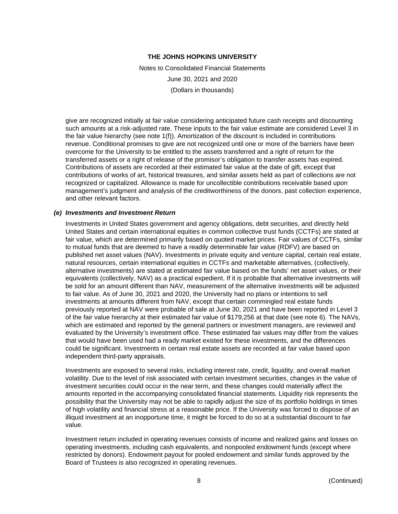Notes to Consolidated Financial Statements June 30, 2021 and 2020 (Dollars in thousands)

give are recognized initially at fair value considering anticipated future cash receipts and discounting such amounts at a risk-adjusted rate. These inputs to the fair value estimate are considered Level 3 in the fair value hierarchy (see note 1(f)). Amortization of the discount is included in contributions revenue. Conditional promises to give are not recognized until one or more of the barriers have been overcome for the University to be entitled to the assets transferred and a right of return for the transferred assets or a right of release of the promisor's obligation to transfer assets has expired. Contributions of assets are recorded at their estimated fair value at the date of gift, except that contributions of works of art, historical treasures, and similar assets held as part of collections are not recognized or capitalized. Allowance is made for uncollectible contributions receivable based upon management's judgment and analysis of the creditworthiness of the donors, past collection experience, and other relevant factors.

#### *(e) Investments and Investment Return*

Investments in United States government and agency obligations, debt securities, and directly held United States and certain international equities in common collective trust funds (CCTFs) are stated at fair value, which are determined primarily based on quoted market prices. Fair values of CCTFs, similar to mutual funds that are deemed to have a readily determinable fair value (RDFV) are based on published net asset values (NAV). Investments in private equity and venture capital, certain real estate, natural resources, certain international equities in CCTFs and marketable alternatives, (collectively, alternative investments) are stated at estimated fair value based on the funds' net asset values, or their equivalents (collectively, NAV) as a practical expedient. If it is probable that alternative investments will be sold for an amount different than NAV, measurement of the alternative investments will be adjusted to fair value. As of June 30, 2021 and 2020, the University had no plans or intentions to sell investments at amounts different from NAV, except that certain commingled real estate funds previously reported at NAV were probable of sale at June 30, 2021 and have been reported in Level 3 of the fair value hierarchy at their estimated fair value of \$179,256 at that date (see note 6). The NAVs, which are estimated and reported by the general partners or investment managers, are reviewed and evaluated by the University's investment office. These estimated fair values may differ from the values that would have been used had a ready market existed for these investments, and the differences could be significant. Investments in certain real estate assets are recorded at fair value based upon independent third-party appraisals.

Investments are exposed to several risks, including interest rate, credit, liquidity, and overall market volatility. Due to the level of risk associated with certain investment securities, changes in the value of investment securities could occur in the near term, and these changes could materially affect the amounts reported in the accompanying consolidated financial statements. Liquidity risk represents the possibility that the University may not be able to rapidly adjust the size of its portfolio holdings in times of high volatility and financial stress at a reasonable price. If the University was forced to dispose of an illiquid investment at an inopportune time, it might be forced to do so at a substantial discount to fair value.

Investment return included in operating revenues consists of income and realized gains and losses on operating investments, including cash equivalents, and nonpooled endowment funds (except where restricted by donors). Endowment payout for pooled endowment and similar funds approved by the Board of Trustees is also recognized in operating revenues.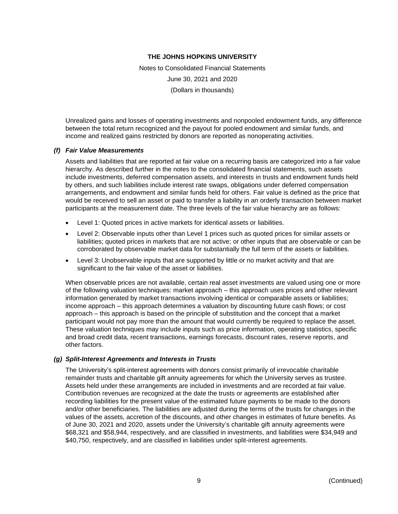Notes to Consolidated Financial Statements June 30, 2021 and 2020 (Dollars in thousands)

Unrealized gains and losses of operating investments and nonpooled endowment funds, any difference between the total return recognized and the payout for pooled endowment and similar funds, and income and realized gains restricted by donors are reported as nonoperating activities.

## *(f) Fair Value Measurements*

Assets and liabilities that are reported at fair value on a recurring basis are categorized into a fair value hierarchy. As described further in the notes to the consolidated financial statements, such assets include investments, deferred compensation assets, and interests in trusts and endowment funds held by others, and such liabilities include interest rate swaps, obligations under deferred compensation arrangements, and endowment and similar funds held for others. Fair value is defined as the price that would be received to sell an asset or paid to transfer a liability in an orderly transaction between market participants at the measurement date. The three levels of the fair value hierarchy are as follows:

- Level 1: Quoted prices in active markets for identical assets or liabilities.
- Level 2: Observable inputs other than Level 1 prices such as quoted prices for similar assets or liabilities; quoted prices in markets that are not active; or other inputs that are observable or can be corroborated by observable market data for substantially the full term of the assets or liabilities.
- Level 3: Unobservable inputs that are supported by little or no market activity and that are significant to the fair value of the asset or liabilities.

When observable prices are not available, certain real asset investments are valued using one or more of the following valuation techniques: market approach – this approach uses prices and other relevant information generated by market transactions involving identical or comparable assets or liabilities; income approach – this approach determines a valuation by discounting future cash flows; or cost approach – this approach is based on the principle of substitution and the concept that a market participant would not pay more than the amount that would currently be required to replace the asset. These valuation techniques may include inputs such as price information, operating statistics, specific and broad credit data, recent transactions, earnings forecasts, discount rates, reserve reports, and other factors.

#### *(g) Split-Interest Agreements and Interests in Trusts*

The University's split-interest agreements with donors consist primarily of irrevocable charitable remainder trusts and charitable gift annuity agreements for which the University serves as trustee. Assets held under these arrangements are included in investments and are recorded at fair value. Contribution revenues are recognized at the date the trusts or agreements are established after recording liabilities for the present value of the estimated future payments to be made to the donors and/or other beneficiaries. The liabilities are adjusted during the terms of the trusts for changes in the values of the assets, accretion of the discounts, and other changes in estimates of future benefits. As of June 30, 2021 and 2020, assets under the University's charitable gift annuity agreements were \$68,321 and \$58,944, respectively, and are classified in investments, and liabilities were \$34,949 and \$40,750, respectively, and are classified in liabilities under split-interest agreements.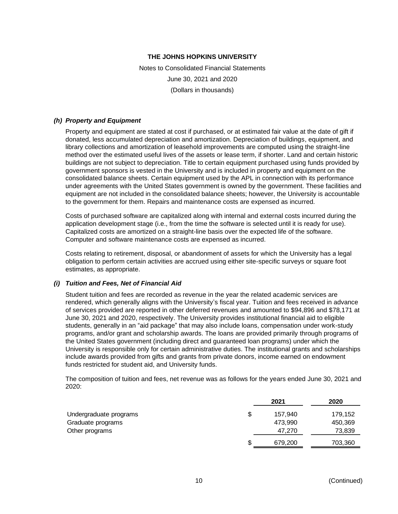Notes to Consolidated Financial Statements June 30, 2021 and 2020 (Dollars in thousands)

## *(h) Property and Equipment*

Property and equipment are stated at cost if purchased, or at estimated fair value at the date of gift if donated, less accumulated depreciation and amortization. Depreciation of buildings, equipment, and library collections and amortization of leasehold improvements are computed using the straight-line method over the estimated useful lives of the assets or lease term, if shorter. Land and certain historic buildings are not subject to depreciation. Title to certain equipment purchased using funds provided by government sponsors is vested in the University and is included in property and equipment on the consolidated balance sheets. Certain equipment used by the APL in connection with its performance under agreements with the United States government is owned by the government. These facilities and equipment are not included in the consolidated balance sheets; however, the University is accountable to the government for them. Repairs and maintenance costs are expensed as incurred.

Costs of purchased software are capitalized along with internal and external costs incurred during the application development stage (i.e., from the time the software is selected until it is ready for use). Capitalized costs are amortized on a straight-line basis over the expected life of the software. Computer and software maintenance costs are expensed as incurred.

Costs relating to retirement, disposal, or abandonment of assets for which the University has a legal obligation to perform certain activities are accrued using either site-specific surveys or square foot estimates, as appropriate.

#### *(i) Tuition and Fees, Net of Financial Aid*

Student tuition and fees are recorded as revenue in the year the related academic services are rendered, which generally aligns with the University's fiscal year. Tuition and fees received in advance of services provided are reported in other deferred revenues and amounted to \$94,896 and \$78,171 at June 30, 2021 and 2020, respectively. The University provides institutional financial aid to eligible students, generally in an "aid package" that may also include loans, compensation under work-study programs, and/or grant and scholarship awards. The loans are provided primarily through programs of the United States government (including direct and guaranteed loan programs) under which the University is responsible only for certain administrative duties. The institutional grants and scholarships include awards provided from gifts and grants from private donors, income earned on endowment funds restricted for student aid, and University funds.

The composition of tuition and fees, net revenue was as follows for the years ended June 30, 2021 and 2020:

|                        |    | 2021    | 2020    |
|------------------------|----|---------|---------|
| Undergraduate programs | \$ | 157.940 | 179,152 |
| Graduate programs      |    | 473.990 | 450,369 |
| Other programs         |    | 47.270  | 73,839  |
|                        | S  | 679.200 | 703,360 |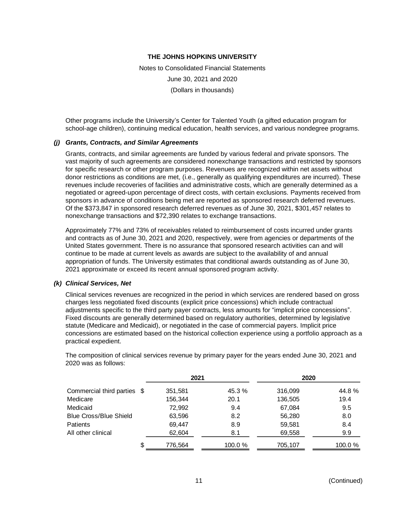Notes to Consolidated Financial Statements June 30, 2021 and 2020 (Dollars in thousands)

Other programs include the University's Center for Talented Youth (a gifted education program for school-age children), continuing medical education, health services, and various nondegree programs.

#### *(j) Grants, Contracts, and Similar Agreements*

Grants, contracts, and similar agreements are funded by various federal and private sponsors. The vast majority of such agreements are considered nonexchange transactions and restricted by sponsors for specific research or other program purposes. Revenues are recognized within net assets without donor restrictions as conditions are met, (i.e., generally as qualifying expenditures are incurred). These revenues include recoveries of facilities and administrative costs, which are generally determined as a negotiated or agreed-upon percentage of direct costs, with certain exclusions. Payments received from sponsors in advance of conditions being met are reported as sponsored research deferred revenues. Of the \$373,847 in sponsored research deferred revenues as of June 30, 2021, \$301,457 relates to nonexchange transactions and \$72,390 relates to exchange transactions.

Approximately 77% and 73% of receivables related to reimbursement of costs incurred under grants and contracts as of June 30, 2021 and 2020, respectively, were from agencies or departments of the United States government. There is no assurance that sponsored research activities can and will continue to be made at current levels as awards are subject to the availability of and annual appropriation of funds. The University estimates that conditional awards outstanding as of June 30, 2021 approximate or exceed its recent annual sponsored program activity.

#### *(k) Clinical Services, Net*

Clinical services revenues are recognized in the period in which services are rendered based on gross charges less negotiated fixed discounts (explicit price concessions) which include contractual adjustments specific to the third party payer contracts, less amounts for "implicit price concessions". Fixed discounts are generally determined based on regulatory authorities, determined by legislative statute (Medicare and Medicaid), or negotiated in the case of commercial payers. Implicit price concessions are estimated based on the historical collection experience using a portfolio approach as a practical expedient.

|                               | 2021    |        | 2020    |        |
|-------------------------------|---------|--------|---------|--------|
| Commercial third parties \$   | 351,581 | 45.3 % | 316,099 | 44.8%  |
| Medicare                      | 156,344 | 20.1   | 136,505 | 19.4   |
| Medicaid                      | 72,992  | 9.4    | 67,084  | 9.5    |
| <b>Blue Cross/Blue Shield</b> | 63,596  | 8.2    | 56,280  | 8.0    |
| Patients                      | 69,447  | 8.9    | 59,581  | 8.4    |
| All other clinical            | 62,604  | 8.1    | 69,558  | 9.9    |
| \$                            | 776,564 | 100.0% | 705,107 | 100.0% |

The composition of clinical services revenue by primary payer for the years ended June 30, 2021 and 2020 was as follows: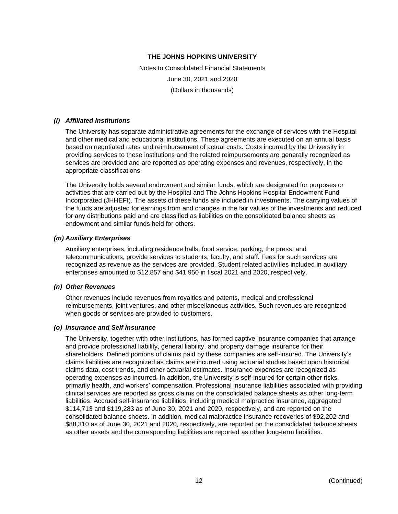Notes to Consolidated Financial Statements June 30, 2021 and 2020 (Dollars in thousands)

## *(l) Affiliated Institutions*

The University has separate administrative agreements for the exchange of services with the Hospital and other medical and educational institutions. These agreements are executed on an annual basis based on negotiated rates and reimbursement of actual costs. Costs incurred by the University in providing services to these institutions and the related reimbursements are generally recognized as services are provided and are reported as operating expenses and revenues, respectively, in the appropriate classifications.

The University holds several endowment and similar funds, which are designated for purposes or activities that are carried out by the Hospital and The Johns Hopkins Hospital Endowment Fund Incorporated (JHHEFI). The assets of these funds are included in investments. The carrying values of the funds are adjusted for earnings from and changes in the fair values of the investments and reduced for any distributions paid and are classified as liabilities on the consolidated balance sheets as endowment and similar funds held for others.

## *(m) Auxiliary Enterprises*

Auxiliary enterprises, including residence halls, food service, parking, the press, and telecommunications, provide services to students, faculty, and staff. Fees for such services are recognized as revenue as the services are provided. Student related activities included in auxiliary enterprises amounted to \$12,857 and \$41,950 in fiscal 2021 and 2020, respectively.

#### *(n) Other Revenues*

Other revenues include revenues from royalties and patents, medical and professional reimbursements, joint ventures, and other miscellaneous activities. Such revenues are recognized when goods or services are provided to customers.

#### *(o) Insurance and Self Insurance*

The University, together with other institutions, has formed captive insurance companies that arrange and provide professional liability, general liability, and property damage insurance for their shareholders. Defined portions of claims paid by these companies are self-insured. The University's claims liabilities are recognized as claims are incurred using actuarial studies based upon historical claims data, cost trends, and other actuarial estimates. Insurance expenses are recognized as operating expenses as incurred. In addition, the University is self-insured for certain other risks, primarily health, and workers' compensation. Professional insurance liabilities associated with providing clinical services are reported as gross claims on the consolidated balance sheets as other long-term liabilities. Accrued self-insurance liabilities, including medical malpractice insurance, aggregated \$114,713 and \$119,283 as of June 30, 2021 and 2020, respectively, and are reported on the consolidated balance sheets. In addition, medical malpractice insurance recoveries of \$92,202 and \$88,310 as of June 30, 2021 and 2020, respectively, are reported on the consolidated balance sheets as other assets and the corresponding liabilities are reported as other long-term liabilities.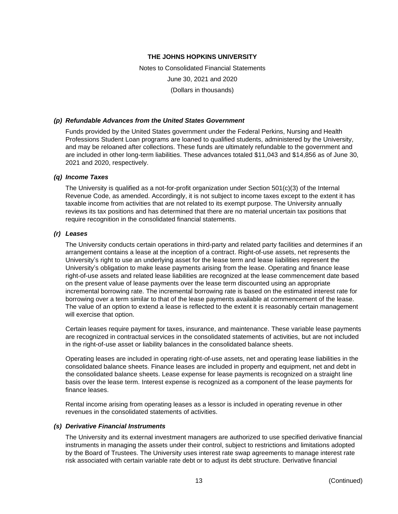Notes to Consolidated Financial Statements June 30, 2021 and 2020 (Dollars in thousands)

## *(p) Refundable Advances from the United States Government*

Funds provided by the United States government under the Federal Perkins, Nursing and Health Professions Student Loan programs are loaned to qualified students, administered by the University, and may be reloaned after collections. These funds are ultimately refundable to the government and are included in other long-term liabilities. These advances totaled \$11,043 and \$14,856 as of June 30, 2021 and 2020, respectively.

## *(q) Income Taxes*

The University is qualified as a not-for-profit organization under Section  $501(c)(3)$  of the Internal Revenue Code, as amended. Accordingly, it is not subject to income taxes except to the extent it has taxable income from activities that are not related to its exempt purpose. The University annually reviews its tax positions and has determined that there are no material uncertain tax positions that require recognition in the consolidated financial statements.

## *(r) Leases*

The University conducts certain operations in third-party and related party facilities and determines if an arrangement contains a lease at the inception of a contract. Right-of-use assets, net represents the University's right to use an underlying asset for the lease term and lease liabilities represent the University's obligation to make lease payments arising from the lease. Operating and finance lease right-of-use assets and related lease liabilities are recognized at the lease commencement date based on the present value of lease payments over the lease term discounted using an appropriate incremental borrowing rate. The incremental borrowing rate is based on the estimated interest rate for borrowing over a term similar to that of the lease payments available at commencement of the lease. The value of an option to extend a lease is reflected to the extent it is reasonably certain management will exercise that option.

Certain leases require payment for taxes, insurance, and maintenance. These variable lease payments are recognized in contractual services in the consolidated statements of activities, but are not included in the right-of-use asset or liability balances in the consolidated balance sheets.

Operating leases are included in operating right-of-use assets, net and operating lease liabilities in the consolidated balance sheets. Finance leases are included in property and equipment, net and debt in the consolidated balance sheets. Lease expense for lease payments is recognized on a straight line basis over the lease term. Interest expense is recognized as a component of the lease payments for finance leases.

Rental income arising from operating leases as a lessor is included in operating revenue in other revenues in the consolidated statements of activities.

#### *(s) Derivative Financial Instruments*

The University and its external investment managers are authorized to use specified derivative financial instruments in managing the assets under their control, subject to restrictions and limitations adopted by the Board of Trustees. The University uses interest rate swap agreements to manage interest rate risk associated with certain variable rate debt or to adjust its debt structure. Derivative financial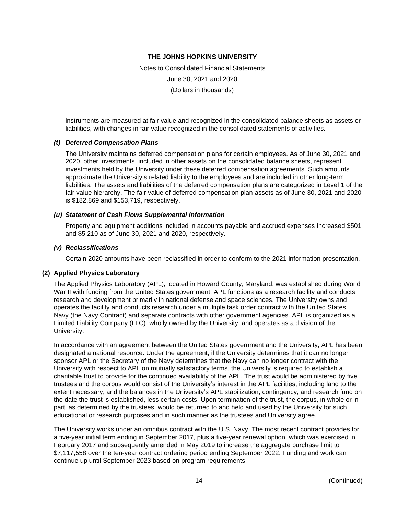Notes to Consolidated Financial Statements June 30, 2021 and 2020 (Dollars in thousands)

instruments are measured at fair value and recognized in the consolidated balance sheets as assets or liabilities, with changes in fair value recognized in the consolidated statements of activities.

## *(t) Deferred Compensation Plans*

The University maintains deferred compensation plans for certain employees. As of June 30, 2021 and 2020, other investments, included in other assets on the consolidated balance sheets, represent investments held by the University under these deferred compensation agreements. Such amounts approximate the University's related liability to the employees and are included in other long-term liabilities. The assets and liabilities of the deferred compensation plans are categorized in Level 1 of the fair value hierarchy. The fair value of deferred compensation plan assets as of June 30, 2021 and 2020 is \$182,869 and \$153,719, respectively.

#### *(u) Statement of Cash Flows Supplemental Information*

Property and equipment additions included in accounts payable and accrued expenses increased \$501 and \$5,210 as of June 30, 2021 and 2020, respectively.

#### *(v) Reclassifications*

Certain 2020 amounts have been reclassified in order to conform to the 2021 information presentation.

#### **(2) Applied Physics Laboratory**

The Applied Physics Laboratory (APL), located in Howard County, Maryland, was established during World War II with funding from the United States government. APL functions as a research facility and conducts research and development primarily in national defense and space sciences. The University owns and operates the facility and conducts research under a multiple task order contract with the United States Navy (the Navy Contract) and separate contracts with other government agencies. APL is organized as a Limited Liability Company (LLC), wholly owned by the University, and operates as a division of the University.

In accordance with an agreement between the United States government and the University, APL has been designated a national resource. Under the agreement, if the University determines that it can no longer sponsor APL or the Secretary of the Navy determines that the Navy can no longer contract with the University with respect to APL on mutually satisfactory terms, the University is required to establish a charitable trust to provide for the continued availability of the APL. The trust would be administered by five trustees and the corpus would consist of the University's interest in the APL facilities, including land to the extent necessary, and the balances in the University's APL stabilization, contingency, and research fund on the date the trust is established, less certain costs. Upon termination of the trust, the corpus, in whole or in part, as determined by the trustees, would be returned to and held and used by the University for such educational or research purposes and in such manner as the trustees and University agree.

The University works under an omnibus contract with the U.S. Navy. The most recent contract provides for a five-year initial term ending in September 2017, plus a five-year renewal option, which was exercised in February 2017 and subsequently amended in May 2019 to increase the aggregate purchase limit to \$7,117,558 over the ten-year contract ordering period ending September 2022. Funding and work can continue up until September 2023 based on program requirements.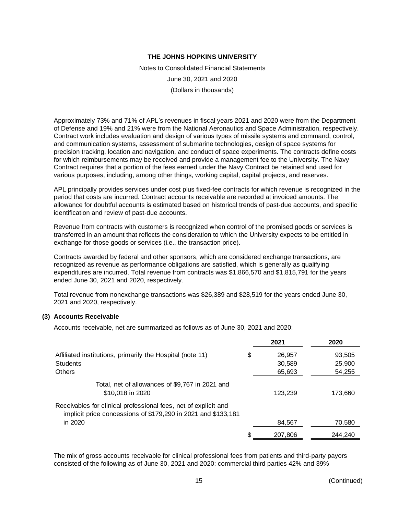Notes to Consolidated Financial Statements June 30, 2021 and 2020 (Dollars in thousands)

Approximately 73% and 71% of APL's revenues in fiscal years 2021 and 2020 were from the Department of Defense and 19% and 21% were from the National Aeronautics and Space Administration, respectively. Contract work includes evaluation and design of various types of missile systems and command, control, and communication systems, assessment of submarine technologies, design of space systems for precision tracking, location and navigation, and conduct of space experiments. The contracts define costs for which reimbursements may be received and provide a management fee to the University. The Navy Contract requires that a portion of the fees earned under the Navy Contract be retained and used for various purposes, including, among other things, working capital, capital projects, and reserves.

APL principally provides services under cost plus fixed-fee contracts for which revenue is recognized in the period that costs are incurred. Contract accounts receivable are recorded at invoiced amounts. The allowance for doubtful accounts is estimated based on historical trends of past-due accounts, and specific identification and review of past-due accounts.

Revenue from contracts with customers is recognized when control of the promised goods or services is transferred in an amount that reflects the consideration to which the University expects to be entitled in exchange for those goods or services (i.e., the transaction price).

Contracts awarded by federal and other sponsors, which are considered exchange transactions, are recognized as revenue as performance obligations are satisfied, which is generally as qualifying expenditures are incurred. Total revenue from contracts was \$1,866,570 and \$1,815,791 for the years ended June 30, 2021 and 2020, respectively.

Total revenue from nonexchange transactions was \$26,389 and \$28,519 for the years ended June 30, 2021 and 2020, respectively.

# **(3) Accounts Receivable**

Accounts receivable, net are summarized as follows as of June 30, 2021 and 2020:

|                                                                                                                                  | 2021         | 2020    |
|----------------------------------------------------------------------------------------------------------------------------------|--------------|---------|
| Affiliated institutions, primarily the Hospital (note 11)                                                                        | \$<br>26,957 | 93,505  |
| <b>Students</b>                                                                                                                  | 30,589       | 25,900  |
| Others                                                                                                                           | 65,693       | 54,255  |
| Total, net of allowances of \$9,767 in 2021 and<br>\$10,018 in 2020                                                              | 123,239      | 173,660 |
| Receivables for clinical professional fees, net of explicit and<br>implicit price concessions of \$179,290 in 2021 and \$133,181 |              |         |
| in 2020                                                                                                                          | 84,567       | 70,580  |
|                                                                                                                                  | 207,806      | 244,240 |

The mix of gross accounts receivable for clinical professional fees from patients and third-party payors consisted of the following as of June 30, 2021 and 2020: commercial third parties 42% and 39%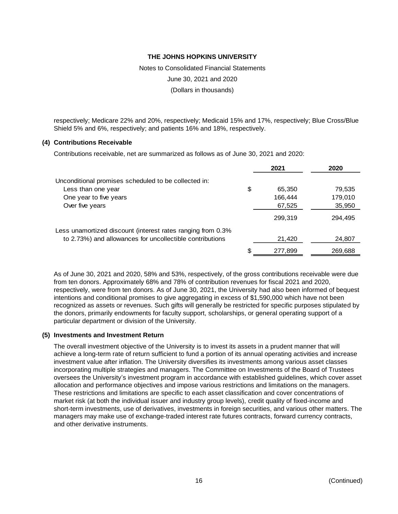Notes to Consolidated Financial Statements

June 30, 2021 and 2020

(Dollars in thousands)

respectively; Medicare 22% and 20%, respectively; Medicaid 15% and 17%, respectively; Blue Cross/Blue Shield 5% and 6%, respectively; and patients 16% and 18%, respectively.

## **(4) Contributions Receivable**

Contributions receivable, net are summarized as follows as of June 30, 2021 and 2020:

|                                                             | 2021         | 2020    |
|-------------------------------------------------------------|--------------|---------|
| Unconditional promises scheduled to be collected in:        |              |         |
| Less than one year                                          | \$<br>65,350 | 79,535  |
| One year to five years                                      | 166,444      | 179,010 |
| Over five years                                             | 67,525       | 35,950  |
|                                                             | 299,319      | 294,495 |
| Less unamortized discount (interest rates ranging from 0.3% |              |         |
| to 2.73%) and allowances for uncollectible contributions    | 21,420       | 24,807  |
|                                                             | 277,899      | 269,688 |

As of June 30, 2021 and 2020, 58% and 53%, respectively, of the gross contributions receivable were due from ten donors. Approximately 68% and 78% of contribution revenues for fiscal 2021 and 2020, respectively, were from ten donors. As of June 30, 2021, the University had also been informed of bequest intentions and conditional promises to give aggregating in excess of \$1,590,000 which have not been recognized as assets or revenues. Such gifts will generally be restricted for specific purposes stipulated by the donors, primarily endowments for faculty support, scholarships, or general operating support of a particular department or division of the University.

#### **(5) Investments and Investment Return**

The overall investment objective of the University is to invest its assets in a prudent manner that will achieve a long-term rate of return sufficient to fund a portion of its annual operating activities and increase investment value after inflation. The University diversifies its investments among various asset classes incorporating multiple strategies and managers. The Committee on Investments of the Board of Trustees oversees the University's investment program in accordance with established guidelines, which cover asset allocation and performance objectives and impose various restrictions and limitations on the managers. These restrictions and limitations are specific to each asset classification and cover concentrations of market risk (at both the individual issuer and industry group levels), credit quality of fixed-income and short-term investments, use of derivatives, investments in foreign securities, and various other matters. The managers may make use of exchange-traded interest rate futures contracts, forward currency contracts, and other derivative instruments.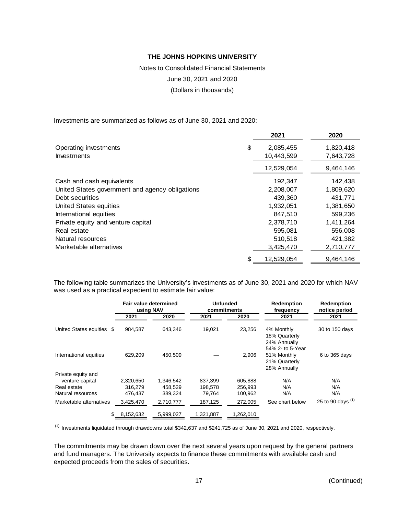Notes to Consolidated Financial Statements

June 30, 2021 and 2020

(Dollars in thousands)

Investments are summarized as follows as of June 30, 2021 and 2020:

|                                                 | 2021             | 2020      |
|-------------------------------------------------|------------------|-----------|
| Operating investments                           | \$<br>2,085,455  | 1,820,418 |
| Investments                                     | 10,443,599       | 7,643,728 |
|                                                 | 12,529,054       | 9,464,146 |
| Cash and cash equivalents                       | 192,347          | 142,438   |
| United States government and agency obligations | 2,208,007        | 1,809,620 |
| Debt securities                                 | 439,360          | 431,771   |
| United States equities                          | 1,932,051        | 1,381,650 |
| International equities                          | 847,510          | 599,236   |
| Private equity and venture capital              | 2,378,710        | 1,411,264 |
| Real estate                                     | 595,081          | 556,008   |
| Natural resources                               | 510,518          | 421,382   |
| Marketable alternatives                         | 3,425,470        | 2,710,777 |
|                                                 | \$<br>12,529,054 | 9,464,146 |

The following table summarizes the University's investments as of June 30, 2021 and 2020 for which NAV was used as a practical expedient to estimate fair value:

|                           | <b>Fair value determined</b><br>using NAV |           | <b>Unfunded</b><br>commitments |           | <b>Redemption</b><br>frequency                                  | <b>Redemption</b><br>notice period |
|---------------------------|-------------------------------------------|-----------|--------------------------------|-----------|-----------------------------------------------------------------|------------------------------------|
|                           | 2021                                      | 2020      | 2021                           | 2020      | 2021                                                            | 2021                               |
| United States equities \$ | 984,587                                   | 643,346   | 19,021                         | 23,256    | 4% Monthly<br>18% Quarterly<br>24% Annually<br>54% 2- to 5-Year | 30 to 150 days                     |
| International equities    | 629,209                                   | 450.509   |                                | 2,906     | 51% Monthly<br>21% Quarterly<br>28% Annually                    | 6 to 365 days                      |
| Private equity and        |                                           |           |                                |           |                                                                 |                                    |
| venture capital           | 2,320,650                                 | 1,346,542 | 837.399                        | 605.888   | N/A                                                             | N/A                                |
| Real estate               | 316,279                                   | 458,529   | 198,578                        | 256,993   | N/A                                                             | N/A                                |
| Natural resources         | 476,437                                   | 389,324   | 79,764                         | 100,962   | N/A                                                             | N/A                                |
| Marketable alternatives   | 3,425,470                                 | 2,710,777 | 187,125                        | 272,005   | See chart below                                                 | 25 to 90 days $(1)$                |
| \$                        | 8,152,632                                 | 5,999,027 | 1,321,887                      | 1,262,010 |                                                                 |                                    |

(1) Investments liquidated through drawdowns total \$342,637 and \$241,725 as of June 30, 2021 and 2020, respectively.

The commitments may be drawn down over the next several years upon request by the general partners and fund managers. The University expects to finance these commitments with available cash and expected proceeds from the sales of securities.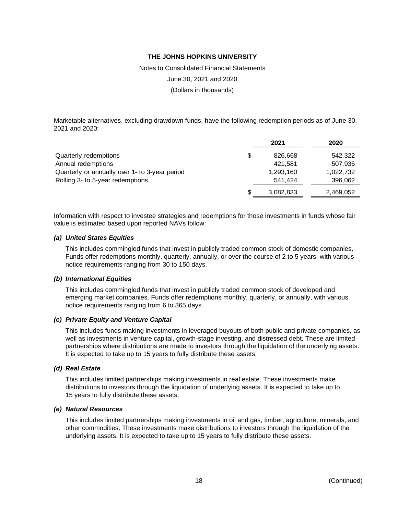Notes to Consolidated Financial Statements

June 30, 2021 and 2020

(Dollars in thousands)

Marketable alternatives, excluding drawdown funds, have the following redemption periods as of June 30, 2021 and 2020:

|                                                |    | 2021      | 2020      |
|------------------------------------------------|----|-----------|-----------|
| Quarterly redemptions                          | \$ | 826,668   | 542,322   |
| Annual redemptions                             |    | 421,581   | 507,936   |
| Quarterly or annually over 1- to 3-year period |    | 1,293,160 | 1,022,732 |
| Rolling 3- to 5-year redemptions               |    | 541.424   | 396,062   |
|                                                | S  | 3,082,833 | 2,469,052 |

Information with respect to investee strategies and redemptions for those investments in funds whose fair value is estimated based upon reported NAVs follow:

#### *(a) United States Equities*

This includes commingled funds that invest in publicly traded common stock of domestic companies. Funds offer redemptions monthly, quarterly, annually, or over the course of 2 to 5 years, with various notice requirements ranging from 30 to 150 days.

#### *(b) International Equities*

This includes commingled funds that invest in publicly traded common stock of developed and emerging market companies. Funds offer redemptions monthly, quarterly, or annually, with various notice requirements ranging from 6 to 365 days.

#### *(c) Private Equity and Venture Capital*

This includes funds making investments in leveraged buyouts of both public and private companies, as well as investments in venture capital, growth-stage investing, and distressed debt. These are limited partnerships where distributions are made to investors through the liquidation of the underlying assets. It is expected to take up to 15 years to fully distribute these assets.

#### *(d) Real Estate*

This includes limited partnerships making investments in real estate. These investments make distributions to investors through the liquidation of underlying assets. It is expected to take up to 15 years to fully distribute these assets.

#### *(e) Natural Resources*

This includes limited partnerships making investments in oil and gas, timber, agriculture, minerals, and other commodities. These investments make distributions to investors through the liquidation of the underlying assets. It is expected to take up to 15 years to fully distribute these assets.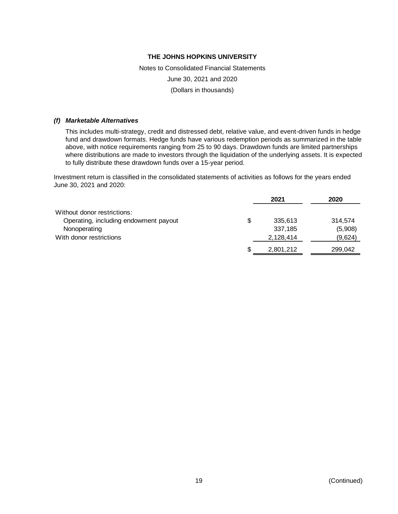Notes to Consolidated Financial Statements June 30, 2021 and 2020 (Dollars in thousands)

## *(f) Marketable Alternatives*

This includes multi-strategy, credit and distressed debt, relative value, and event-driven funds in hedge fund and drawdown formats. Hedge funds have various redemption periods as summarized in the table above, with notice requirements ranging from 25 to 90 days. Drawdown funds are limited partnerships where distributions are made to investors through the liquidation of the underlying assets. It is expected to fully distribute these drawdown funds over a 15-year period.

Investment return is classified in the consolidated statements of activities as follows for the years ended June 30, 2021 and 2020:

|                                       |    | 2021      | 2020    |
|---------------------------------------|----|-----------|---------|
| Without donor restrictions:           |    |           |         |
| Operating, including endowment payout | \$ | 335,613   | 314,574 |
| Nonoperating                          |    | 337,185   | (5,908) |
| With donor restrictions               |    | 2,128,414 | (9,624) |
|                                       | S  | 2,801,212 | 299,042 |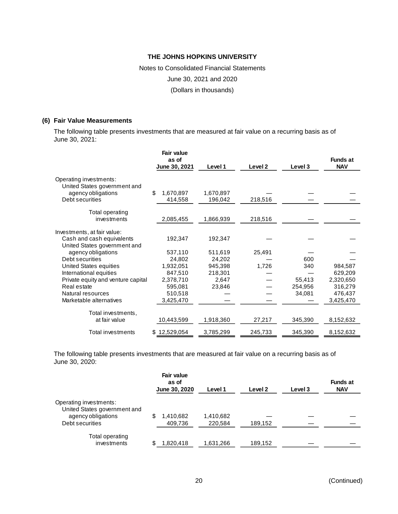Notes to Consolidated Financial Statements

June 30, 2021 and 2020

(Dollars in thousands)

#### **(6) Fair Value Measurements**

The following table presents investments that are measured at fair value on a recurring basis as of June 30, 2021:

|                                    | Fair value<br>as of<br>June 30, 2021 | Level 1   | Level <sub>2</sub> | Level 3 | <b>Funds at</b><br><b>NAV</b> |
|------------------------------------|--------------------------------------|-----------|--------------------|---------|-------------------------------|
| Operating investments:             |                                      |           |                    |         |                               |
| United States government and       |                                      |           |                    |         |                               |
| agency obligations                 | \$.<br>1,670,897                     | 1,670,897 |                    |         |                               |
| Debt securities                    | 414,558                              | 196,042   | 218,516            |         |                               |
| Total operating                    |                                      |           |                    |         |                               |
| investments                        | 2,085,455                            | 1,866,939 | 218,516            |         |                               |
| Investments, at fair value:        |                                      |           |                    |         |                               |
| Cash and cash equivalents          | 192,347                              | 192,347   |                    |         |                               |
| United States government and       |                                      |           |                    |         |                               |
| agency obligations                 | 537,110                              | 511,619   | 25,491             |         |                               |
| Debt securities                    | 24,802                               | 24,202    |                    | 600     |                               |
| <b>United States equities</b>      | 1,932,051                            | 945,398   | 1,726              | 340     | 984,587                       |
| International equities             | 847,510                              | 218,301   |                    |         | 629,209                       |
| Private equity and venture capital | 2,378,710                            | 2,647     |                    | 55,413  | 2,320,650                     |
| Real estate                        | 595,081                              | 23,846    |                    | 254,956 | 316,279                       |
| Natural resources                  | 510,518                              |           |                    | 34,081  | 476,437                       |
| Marketable alternatives            | 3,425,470                            |           |                    |         | 3,425,470                     |
| Total investments,                 |                                      |           |                    |         |                               |
| at fair value                      | 10,443,599                           | 1,918,360 | 27,217             | 345,390 | 8,152,632                     |
| Total investments                  | 12,529,054<br>S.                     | 3,785,299 | 245,733            | 345,390 | 8,152,632                     |

The following table presents investments that are measured at fair value on a recurring basis as of June 30, 2020:

|                                                        | Fair value<br>as of<br>June 30, 2020 | Level 1   | Level <sub>2</sub> | Level 3 | <b>Funds at</b><br><b>NAV</b> |
|--------------------------------------------------------|--------------------------------------|-----------|--------------------|---------|-------------------------------|
| Operating investments:<br>United States government and |                                      |           |                    |         |                               |
| agency obligations                                     | 1,410,682<br>S                       | 1,410,682 |                    |         |                               |
| Debt securities                                        | 409,736                              | 220,584   | 189,152            |         |                               |
| Total operating<br>investments                         | S<br>1,820,418                       | 1,631,266 | 189,152            |         |                               |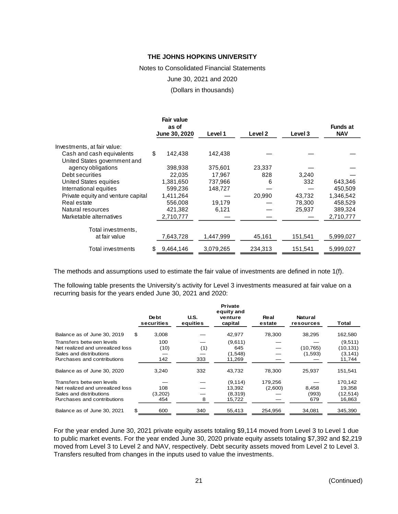Notes to Consolidated Financial Statements

June 30, 2021 and 2020

(Dollars in thousands)

|                                    | Fair value<br>as of<br>June 30, 2020 | Level 1   | Level 2 | Level 3 | <b>Funds at</b><br><b>NAV</b> |
|------------------------------------|--------------------------------------|-----------|---------|---------|-------------------------------|
| Investments, at fair value:        |                                      |           |         |         |                               |
| Cash and cash equivalents          | \$<br>142,438                        | 142,438   |         |         |                               |
|                                    |                                      |           |         |         |                               |
| United States government and       |                                      |           |         |         |                               |
| agency obligations                 | 398,938                              | 375,601   | 23,337  |         |                               |
| Debt securities                    | 22,035                               | 17.967    | 828     | 3,240   |                               |
| <b>United States equities</b>      | 1,381,650                            | 737,966   | 6       | 332     | 643,346                       |
| International equities             | 599,236                              | 148,727   |         |         | 450.509                       |
| Private equity and venture capital | 1,411,264                            |           | 20,990  | 43,732  | 1,346,542                     |
| Real estate                        | 556,008                              | 19,179    |         | 78,300  | 458,529                       |
| Natural resources                  | 421,382                              | 6,121     |         | 25,937  | 389,324                       |
| Marketable alternatives            | 2,710,777                            |           |         |         | 2,710,777                     |
| Total investments,                 |                                      |           |         |         |                               |
| at fair value                      | 7,643,728                            | 1,447,999 | 45,161  | 151,541 | 5,999,027                     |
| Total investments                  | 9,464,146<br>\$                      | 3,079,265 | 234,313 | 151,541 | 5,999,027                     |

The methods and assumptions used to estimate the fair value of investments are defined in note 1(f).

The following table presents the University's activity for Level 3 investments measured at fair value on a recurring basis for the years ended June 30, 2021 and 2020:

|                                  |                     |                  | Private<br>equity and |                |                      |           |
|----------------------------------|---------------------|------------------|-----------------------|----------------|----------------------|-----------|
|                                  | De bt<br>securities | U.S.<br>equities | venture<br>capital    | Real<br>estate | Natural<br>resources | Total     |
| Balance as of June 30, 2019      | \$<br>3,008         |                  | 42,977                | 78,300         | 38,295               | 162,580   |
| Transfers between levels         | 100                 |                  | (9,611)               |                |                      | (9,511)   |
| Net realized and unrealized loss | (10)                | (1)              | 645                   |                | (10, 765)            | (10, 131) |
| Sales and distributions          |                     |                  | (1,548)               |                | (1,593)              | (3, 141)  |
| Purchases and contributions      | 142                 | 333              | 11,269                |                |                      | 11,744    |
| Balance as of June 30, 2020      | 3,240               | 332              | 43.732                | 78,300         | 25,937               | 151,541   |
| Transfers between levels         |                     |                  | (9, 114)              | 179,256        |                      | 170,142   |
| Net realized and unrealized loss | 108                 |                  | 13,392                | (2,600)        | 8,458                | 19,358    |
| Sales and distributions          | (3,202)             |                  | (8,319)               |                | (993)                | (12, 514) |
| Purchases and contributions      | 454                 | 8                | 15,722                |                | 679                  | 16,863    |
| Balance as of June 30, 2021      | \$<br>600           | 340              | 55,413                | 254,956        | 34,081               | 345,390   |

For the year ended June 30, 2021 private equity assets totaling \$9,114 moved from Level 3 to Level 1 due to public market events. For the year ended June 30, 2020 private equity assets totaling \$7,392 and \$2,219 moved from Level 3 to Level 2 and NAV, respectively. Debt security assets moved from Level 2 to Level 3. Transfers resulted from changes in the inputs used to value the investments.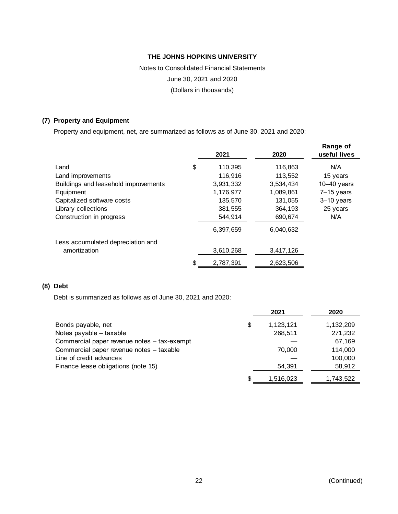Notes to Consolidated Financial Statements June 30, 2021 and 2020 (Dollars in thousands)

# **(7) Property and Equipment**

Property and equipment, net, are summarized as follows as of June 30, 2021 and 2020:

|                                      | 2021            | 2020      | Range of<br>useful lives |
|--------------------------------------|-----------------|-----------|--------------------------|
| Land                                 | \$<br>110,395   | 116,863   | N/A                      |
| Land improvements                    | 116,916         | 113,552   | 15 years                 |
| Buildings and leasehold improvements | 3,931,332       | 3,534,434 | $10-40$ years            |
| Equipment                            | 1,176,977       | 1,089,861 | $7-15$ years             |
| Capitalized software costs           | 135,570         | 131,055   | $3-10$ years             |
| Library collections                  | 381,555         | 364,193   | 25 years                 |
| Construction in progress             | 544,914         | 690,674   | N/A                      |
|                                      | 6.397.659       | 6,040,632 |                          |
| Less accumulated depreciation and    |                 |           |                          |
| amortization                         | 3,610,268       | 3,417,126 |                          |
|                                      | \$<br>2,787,391 | 2,623,506 |                          |

# **(8) Debt**

Debt is summarized as follows as of June 30, 2021 and 2020:

|                                             |    | 2021      | 2020      |
|---------------------------------------------|----|-----------|-----------|
| Bonds payable, net                          | \$ | 1,123,121 | 1,132,209 |
| Notes payable - taxable                     |    | 268,511   | 271,232   |
| Commercial paper revenue notes - tax-exempt |    |           | 67,169    |
| Commercial paper revenue notes - taxable    |    | 70,000    | 114,000   |
| Line of credit advances                     |    |           | 100,000   |
| Finance lease obligations (note 15)         |    | 54,391    | 58,912    |
|                                             | S. | 1,516,023 | 1,743,522 |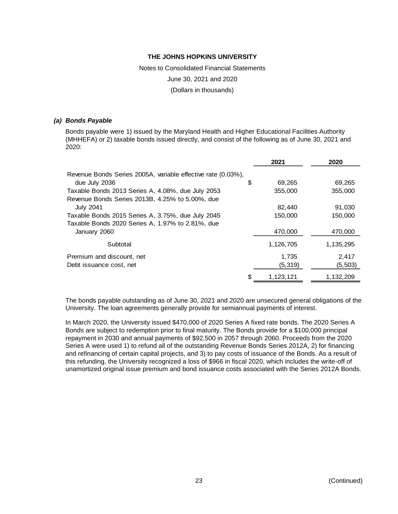Notes to Consolidated Financial Statements

June 30, 2021 and 2020

(Dollars in thousands)

#### *(a) Bonds Payable*

Bonds payable were 1) issued by the Maryland Health and Higher Educational Facilities Authority (MHHEFA) or 2) taxable bonds issued directly, and consist of the following as of June 30, 2021 and 2020:

|                                                              | 2021      | 2020      |
|--------------------------------------------------------------|-----------|-----------|
| Revenue Bonds Series 2005A, variable effective rate (0.03%), |           |           |
| \$<br>due July 2036                                          | 69,265    | 69,265    |
| Taxable Bonds 2013 Series A, 4.08%, due July 2053            | 355,000   | 355,000   |
| Revenue Bonds Series 2013B, 4.25% to 5.00%, due              |           |           |
| <b>July 2041</b>                                             | 82.440    | 91.030    |
| Taxable Bonds 2015 Series A, 3.75%, due July 2045            | 150,000   | 150,000   |
| Taxable Bonds 2020 Series A, 1.97% to 2.81%, due             |           |           |
| January 2060                                                 | 470,000   | 470,000   |
| Subtotal                                                     | 1,126,705 | 1,135,295 |
| Premium and discount, net                                    | 1,735     | 2,417     |
| Debt issuance cost, net                                      | (5, 319)  | (5,503)   |
| S                                                            | 1,123,121 | 1,132,209 |

The bonds payable outstanding as of June 30, 2021 and 2020 are unsecured general obligations of the University. The loan agreements generally provide for semiannual payments of interest.

In March 2020, the University issued \$470,000 of 2020 Series A fixed rate bonds. The 2020 Series A Bonds are subject to redemption prior to final maturity. The Bonds provide for a \$100,000 principal repayment in 2030 and annual payments of \$92,500 in 2057 through 2060. Proceeds from the 2020 Series A were used 1) to refund all of the outstanding Revenue Bonds Series 2012A, 2) for financing and refinancing of certain capital projects, and 3) to pay costs of issuance of the Bonds. As a result of this refunding, the University recognized a loss of \$966 in fiscal 2020, which includes the write-off of unamortized original issue premium and bond issuance costs associated with the Series 2012A Bonds.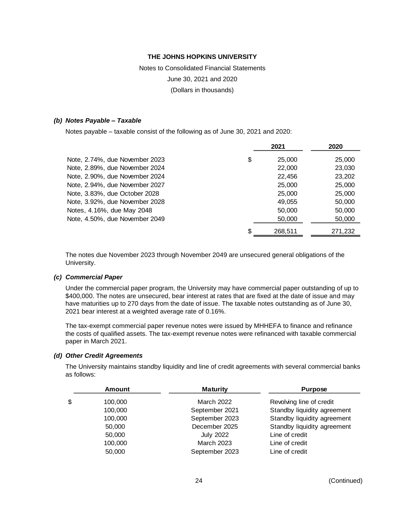# Notes to Consolidated Financial Statements

June 30, 2021 and 2020

(Dollars in thousands)

#### *(b) Notes Payable – Taxable*

Notes payable – taxable consist of the following as of June 30, 2021 and 2020:

|                                      | 2021    | 2020    |
|--------------------------------------|---------|---------|
| \$<br>Note, 2.74%, due November 2023 | 25,000  | 25,000  |
| Note, 2.89%, due November 2024       | 22,000  | 23,030  |
| Note, 2.90%, due November 2024       | 22,456  | 23,202  |
| Note, 2.94%, due November 2027       | 25,000  | 25,000  |
| Note, 3.83%, due October 2028        | 25,000  | 25,000  |
| Note, 3.92%, due November 2028       | 49,055  | 50,000  |
| Notes, 4.16%, due May 2048           | 50,000  | 50,000  |
| Note, 4.50%, due November 2049       | 50,000  | 50,000  |
| \$                                   | 268,511 | 271,232 |

The notes due November 2023 through November 2049 are unsecured general obligations of the University.

#### *(c) Commercial Paper*

Under the commercial paper program, the University may have commercial paper outstanding of up to \$400,000. The notes are unsecured, bear interest at rates that are fixed at the date of issue and may have maturities up to 270 days from the date of issue. The taxable notes outstanding as of June 30, 2021 bear interest at a weighted average rate of 0.16%.

The tax-exempt commercial paper revenue notes were issued by MHHEFA to finance and refinance the costs of qualified assets. The tax-exempt revenue notes were refinanced with taxable commercial paper in March 2021.

#### *(d) Other Credit Agreements*

The University maintains standby liquidity and line of credit agreements with several commercial banks as follows:

| Amount        | <b>Maturity</b>   | <b>Purpose</b>              |
|---------------|-------------------|-----------------------------|
| \$<br>100,000 | <b>March 2022</b> | Revolving line of credit    |
| 100,000       | September 2021    | Standby liquidity agreement |
| 100,000       | September 2023    | Standby liquidity agreement |
| 50,000        | December 2025     | Standby liquidity agreement |
| 50,000        | <b>July 2022</b>  | Line of credit              |
| 100,000       | <b>March 2023</b> | Line of credit              |
| 50,000        | September 2023    | Line of credit              |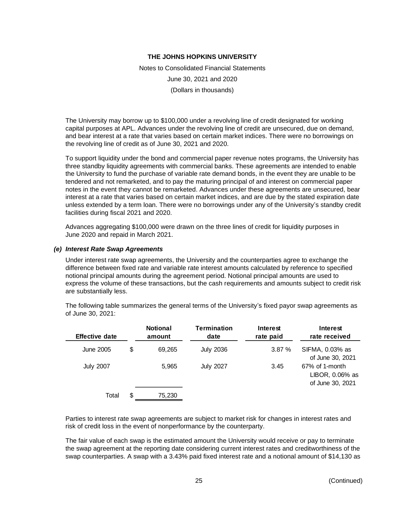Notes to Consolidated Financial Statements June 30, 2021 and 2020 (Dollars in thousands)

The University may borrow up to \$100,000 under a revolving line of credit designated for working capital purposes at APL. Advances under the revolving line of credit are unsecured, due on demand, and bear interest at a rate that varies based on certain market indices. There were no borrowings on the revolving line of credit as of June 30, 2021 and 2020.

To support liquidity under the bond and commercial paper revenue notes programs, the University has three standby liquidity agreements with commercial banks. These agreements are intended to enable the University to fund the purchase of variable rate demand bonds, in the event they are unable to be tendered and not remarketed, and to pay the maturing principal of and interest on commercial paper notes in the event they cannot be remarketed. Advances under these agreements are unsecured, bear interest at a rate that varies based on certain market indices, and are due by the stated expiration date unless extended by a term loan. There were no borrowings under any of the University's standby credit facilities during fiscal 2021 and 2020.

Advances aggregating \$100,000 were drawn on the three lines of credit for liquidity purposes in June 2020 and repaid in March 2021.

## *(e) Interest Rate Swap Agreements*

Under interest rate swap agreements, the University and the counterparties agree to exchange the difference between fixed rate and variable rate interest amounts calculated by reference to specified notional principal amounts during the agreement period. Notional principal amounts are used to express the volume of these transactions, but the cash requirements and amounts subject to credit risk are substantially less.

The following table summarizes the general terms of the University's fixed payor swap agreements as of June 30, 2021:

| <b>Effective date</b> | <b>Notional</b><br>amount | Termination<br>date | Interest<br>rate paid | Interest<br>rate received                             |
|-----------------------|---------------------------|---------------------|-----------------------|-------------------------------------------------------|
| June 2005             | \$<br>69,265              | <b>July 2036</b>    | 3.87%                 | SIFMA, 0.03% as<br>of June 30, 2021                   |
| <b>July 2007</b>      | 5,965                     | <b>July 2027</b>    | 3.45                  | 67% of 1-month<br>LIBOR, 0.06% as<br>of June 30, 2021 |
| Total                 | \$<br>75,230              |                     |                       |                                                       |

Parties to interest rate swap agreements are subject to market risk for changes in interest rates and risk of credit loss in the event of nonperformance by the counterparty.

The fair value of each swap is the estimated amount the University would receive or pay to terminate the swap agreement at the reporting date considering current interest rates and creditworthiness of the swap counterparties. A swap with a 3.43% paid fixed interest rate and a notional amount of \$14,130 as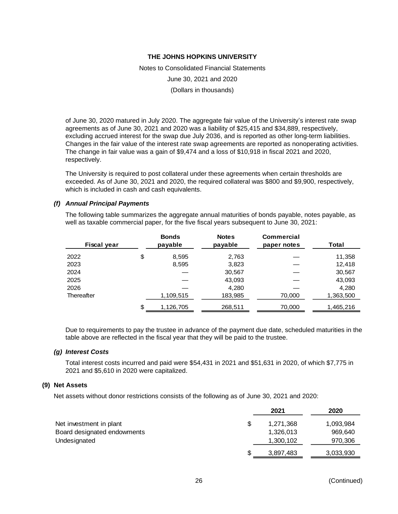Notes to Consolidated Financial Statements June 30, 2021 and 2020 (Dollars in thousands)

of June 30, 2020 matured in July 2020. The aggregate fair value of the University's interest rate swap agreements as of June 30, 2021 and 2020 was a liability of \$25,415 and \$34,889, respectively, excluding accrued interest for the swap due July 2036, and is reported as other long-term liabilities. Changes in the fair value of the interest rate swap agreements are reported as nonoperating activities. The change in fair value was a gain of \$9,474 and a loss of \$10,918 in fiscal 2021 and 2020, respectively.

The University is required to post collateral under these agreements when certain thresholds are exceeded. As of June 30, 2021 and 2020, the required collateral was \$800 and \$9,900, respectively, which is included in cash and cash equivalents.

## *(f) Annual Principal Payments*

The following table summarizes the aggregate annual maturities of bonds payable, notes payable, as well as taxable commercial paper, for the five fiscal years subsequent to June 30, 2021:

| Fiscal year | <b>Bonds</b><br>payable | <b>Notes</b><br>payable | <b>Commercial</b><br>paper notes | Total     |
|-------------|-------------------------|-------------------------|----------------------------------|-----------|
| 2022        | \$<br>8,595             | 2,763                   |                                  | 11,358    |
| 2023        | 8,595                   | 3,823                   |                                  | 12,418    |
| 2024        |                         | 30,567                  |                                  | 30,567    |
| 2025        |                         | 43,093                  |                                  | 43,093    |
| 2026        |                         | 4,280                   |                                  | 4,280     |
| Thereafter  | 1,109,515               | 183,985                 | 70,000                           | 1,363,500 |
|             | \$<br>1,126,705         | 268,511                 | 70,000                           | 1,465,216 |

Due to requirements to pay the trustee in advance of the payment due date, scheduled maturities in the table above are reflected in the fiscal year that they will be paid to the trustee.

#### *(g) Interest Costs*

Total interest costs incurred and paid were \$54,431 in 2021 and \$51,631 in 2020, of which \$7,775 in 2021 and \$5,610 in 2020 were capitalized.

## **(9) Net Assets**

Net assets without donor restrictions consists of the following as of June 30, 2021 and 2020:

|                             |   | 2021      | 2020      |
|-----------------------------|---|-----------|-----------|
| Net investment in plant     | S | 1,271,368 | 1,093,984 |
| Board designated endowments |   | 1,326,013 | 969,640   |
| Undesignated                |   | 1,300,102 | 970,306   |
|                             | S | 3,897,483 | 3,033,930 |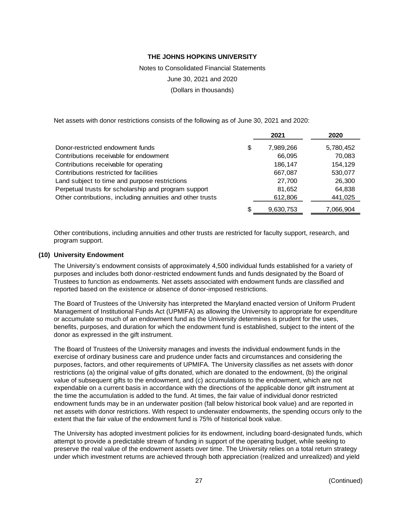Notes to Consolidated Financial Statements

June 30, 2021 and 2020

(Dollars in thousands)

Net assets with donor restrictions consists of the following as of June 30, 2021 and 2020:

|                                                           | 2021            | 2020      |
|-----------------------------------------------------------|-----------------|-----------|
| Donor-restricted endowment funds                          | \$<br>7,989,266 | 5,780,452 |
| Contributions receivable for endowment                    | 66,095          | 70,083    |
| Contributions receivable for operating                    | 186,147         | 154,129   |
| Contributions restricted for facilities                   | 667,087         | 530,077   |
| Land subject to time and purpose restrictions             | 27,700          | 26,300    |
| Perpetual trusts for scholarship and program support      | 81,652          | 64,838    |
| Other contributions, including annuities and other trusts | 612,806         | 441,025   |
|                                                           | \$<br>9,630,753 | 7,066,904 |

Other contributions, including annuities and other trusts are restricted for faculty support, research, and program support.

#### **(10) University Endowment**

The University's endowment consists of approximately 4,500 individual funds established for a variety of purposes and includes both donor-restricted endowment funds and funds designated by the Board of Trustees to function as endowments. Net assets associated with endowment funds are classified and reported based on the existence or absence of donor-imposed restrictions.

The Board of Trustees of the University has interpreted the Maryland enacted version of Uniform Prudent Management of Institutional Funds Act (UPMIFA) as allowing the University to appropriate for expenditure or accumulate so much of an endowment fund as the University determines is prudent for the uses, benefits, purposes, and duration for which the endowment fund is established, subject to the intent of the donor as expressed in the gift instrument.

The Board of Trustees of the University manages and invests the individual endowment funds in the exercise of ordinary business care and prudence under facts and circumstances and considering the purposes, factors, and other requirements of UPMIFA. The University classifies as net assets with donor restrictions (a) the original value of gifts donated, which are donated to the endowment, (b) the original value of subsequent gifts to the endowment, and (c) accumulations to the endowment, which are not expendable on a current basis in accordance with the directions of the applicable donor gift instrument at the time the accumulation is added to the fund. At times, the fair value of individual donor restricted endowment funds may be in an underwater position (fall below historical book value) and are reported in net assets with donor restrictions. With respect to underwater endowments, the spending occurs only to the extent that the fair value of the endowment fund is 75% of historical book value.

The University has adopted investment policies for its endowment, including board-designated funds, which attempt to provide a predictable stream of funding in support of the operating budget, while seeking to preserve the real value of the endowment assets over time. The University relies on a total return strategy under which investment returns are achieved through both appreciation (realized and unrealized) and yield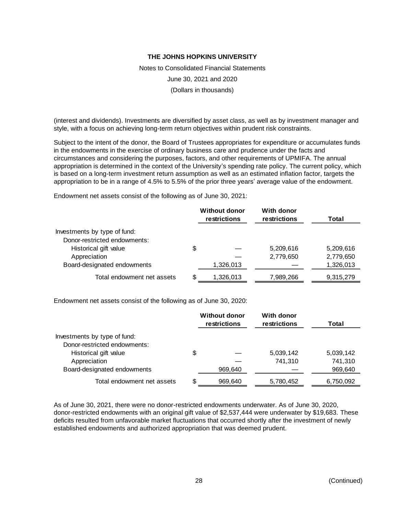Notes to Consolidated Financial Statements June 30, 2021 and 2020 (Dollars in thousands)

(interest and dividends). Investments are diversified by asset class, as well as by investment manager and style, with a focus on achieving long-term return objectives within prudent risk constraints.

Subject to the intent of the donor, the Board of Trustees appropriates for expenditure or accumulates funds in the endowments in the exercise of ordinary business care and prudence under the facts and circumstances and considering the purposes, factors, and other requirements of UPMIFA. The annual appropriation is determined in the context of the University's spending rate policy. The current policy, which is based on a long-term investment return assumption as well as an estimated inflation factor, targets the appropriation to be in a range of 4.5% to 5.5% of the prior three years' average value of the endowment.

Endowment net assets consist of the following as of June 30, 2021:

|    | restrictions | With donor<br>restrictions | Total     |
|----|--------------|----------------------------|-----------|
|    |              |                            |           |
|    |              |                            |           |
| \$ |              | 5,209,616                  | 5,209,616 |
|    |              | 2,779,650                  | 2,779,650 |
|    | 1,326,013    |                            | 1,326,013 |
| S  | 1,326,013    | 7,989,266                  | 9,315,279 |
|    |              | <b>Without donor</b>       |           |

Endowment net assets consist of the following as of June 30, 2020:

|                              |    | <b>Without donor</b><br>restrictions | <b>With donor</b><br>restrictions | Total     |
|------------------------------|----|--------------------------------------|-----------------------------------|-----------|
| Investments by type of fund: |    |                                      |                                   |           |
| Donor-restricted endowments: |    |                                      |                                   |           |
| Historical gift value        | \$ |                                      | 5,039,142                         | 5,039,142 |
| Appreciation                 |    |                                      | 741.310                           | 741,310   |
| Board-designated endowments  |    | 969,640                              |                                   | 969,640   |
| Total endowment net assets   | S  | 969,640                              | 5,780,452                         | 6,750,092 |

As of June 30, 2021, there were no donor-restricted endowments underwater. As of June 30, 2020, donor-restricted endowments with an original gift value of \$2,537,444 were underwater by \$19,683. These deficits resulted from unfavorable market fluctuations that occurred shortly after the investment of newly established endowments and authorized appropriation that was deemed prudent.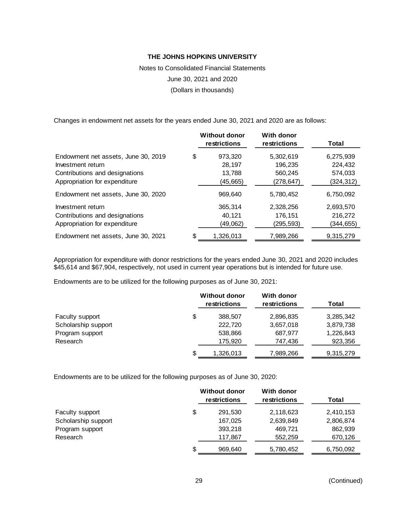Notes to Consolidated Financial Statements June 30, 2021 and 2020 (Dollars in thousands)

Changes in endowment net assets for the years ended June 30, 2021 and 2020 are as follows:

|                                     | <b>Without donor</b><br>restrictions | <b>With donor</b><br>restrictions | Total     |
|-------------------------------------|--------------------------------------|-----------------------------------|-----------|
| Endowment net assets, June 30, 2019 | \$<br>973,320                        | 5,302,619                         | 6,275,939 |
| Investment return                   | 28.197                               | 196,235                           | 224,432   |
| Contributions and designations      | 13,788                               | 560,245                           | 574,033   |
| Appropriation for expenditure       | (45,665)                             | (278,647)                         | (324,312) |
| Endowment net assets, June 30, 2020 | 969.640                              | 5,780,452                         | 6,750,092 |
| Investment return                   | 365,314                              | 2,328,256                         | 2,693,570 |
| Contributions and designations      | 40.121                               | 176,151                           | 216,272   |
| Appropriation for expenditure       | (49,062)                             | (295,593)                         | (344,655) |
| Endowment net assets, June 30, 2021 | \$<br>1,326,013                      | 7,989,266                         | 9,315,279 |

Appropriation for expenditure with donor restrictions for the years ended June 30, 2021 and 2020 includes \$45,614 and \$67,904, respectively, not used in current year operations but is intended for future use.

Endowments are to be utilized for the following purposes as of June 30, 2021:

|                     | <b>Without donor</b><br>restrictions | With donor<br>restrictions | Total     |
|---------------------|--------------------------------------|----------------------------|-----------|
| Faculty support     | \$<br>388,507                        | 2,896,835                  | 3,285,342 |
| Scholarship support | 222,720                              | 3,657,018                  | 3,879,738 |
| Program support     | 538,866                              | 687.977                    | 1,226,843 |
| Research            | 175,920                              | 747,436                    | 923,356   |
|                     | \$<br>1,326,013                      | 7,989,266                  | 9,315,279 |

Endowments are to be utilized for the following purposes as of June 30, 2020:

|                     | <b>Without donor</b><br>restrictions | <b>With donor</b><br>restrictions | Total     |
|---------------------|--------------------------------------|-----------------------------------|-----------|
| Faculty support     | \$<br>291.530                        | 2,118,623                         | 2,410,153 |
| Scholarship support | 167.025                              | 2,639,849                         | 2,806,874 |
| Program support     | 393,218                              | 469,721                           | 862,939   |
| Research            | 117,867                              | 552,259                           | 670,126   |
|                     | \$<br>969.640                        | 5,780,452                         | 6,750,092 |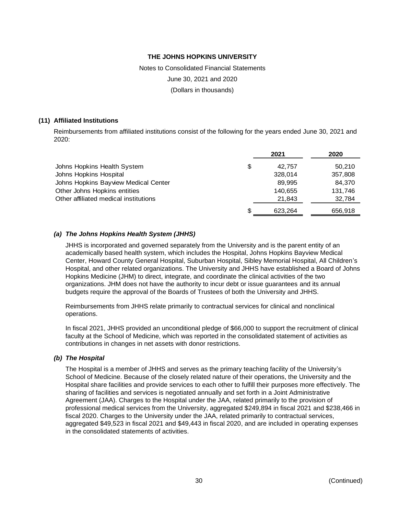Notes to Consolidated Financial Statements

June 30, 2021 and 2020

(Dollars in thousands)

#### **(11) Affiliated Institutions**

Reimbursements from affiliated institutions consist of the following for the years ended June 30, 2021 and 2020:

|                                       |     | 2021    | 2020    |
|---------------------------------------|-----|---------|---------|
| Johns Hopkins Health System           | \$  | 42.757  | 50,210  |
| Johns Hopkins Hospital                |     | 328,014 | 357,808 |
| Johns Hopkins Bayview Medical Center  |     | 89.995  | 84.370  |
| Other Johns Hopkins entities          |     | 140,655 | 131,746 |
| Other affiliated medical institutions |     | 21.843  | 32,784  |
|                                       | \$. | 623.264 | 656,918 |

## *(a) The Johns Hopkins Health System (JHHS)*

JHHS is incorporated and governed separately from the University and is the parent entity of an academically based health system, which includes the Hospital, Johns Hopkins Bayview Medical Center, Howard County General Hospital, Suburban Hospital, Sibley Memorial Hospital, All Children's Hospital, and other related organizations. The University and JHHS have established a Board of Johns Hopkins Medicine (JHM) to direct, integrate, and coordinate the clinical activities of the two organizations. JHM does not have the authority to incur debt or issue guarantees and its annual budgets require the approval of the Boards of Trustees of both the University and JHHS.

Reimbursements from JHHS relate primarily to contractual services for clinical and nonclinical operations.

In fiscal 2021, JHHS provided an unconditional pledge of \$66,000 to support the recruitment of clinical faculty at the School of Medicine, which was reported in the consolidated statement of activities as contributions in changes in net assets with donor restrictions.

#### *(b) The Hospital*

The Hospital is a member of JHHS and serves as the primary teaching facility of the University's School of Medicine. Because of the closely related nature of their operations, the University and the Hospital share facilities and provide services to each other to fulfill their purposes more effectively. The sharing of facilities and services is negotiated annually and set forth in a Joint Administrative Agreement (JAA). Charges to the Hospital under the JAA, related primarily to the provision of professional medical services from the University, aggregated \$249,894 in fiscal 2021 and \$238,466 in fiscal 2020. Charges to the University under the JAA, related primarily to contractual services, aggregated \$49,523 in fiscal 2021 and \$49,443 in fiscal 2020, and are included in operating expenses in the consolidated statements of activities.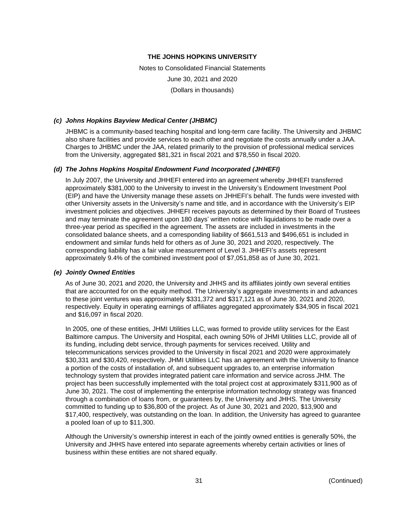Notes to Consolidated Financial Statements June 30, 2021 and 2020 (Dollars in thousands)

# *(c) Johns Hopkins Bayview Medical Center (JHBMC)*

JHBMC is a community-based teaching hospital and long-term care facility. The University and JHBMC also share facilities and provide services to each other and negotiate the costs annually under a JAA. Charges to JHBMC under the JAA, related primarily to the provision of professional medical services from the University, aggregated \$81,321 in fiscal 2021 and \$78,550 in fiscal 2020.

# *(d) The Johns Hopkins Hospital Endowment Fund Incorporated (JHHEFI)*

In July 2007, the University and JHHEFI entered into an agreement whereby JHHEFI transferred approximately \$381,000 to the University to invest in the University's Endowment Investment Pool (EIP) and have the University manage these assets on JHHEFI's behalf. The funds were invested with other University assets in the University's name and title, and in accordance with the University's EIP investment policies and objectives. JHHEFI receives payouts as determined by their Board of Trustees and may terminate the agreement upon 180 days' written notice with liquidations to be made over a three-year period as specified in the agreement. The assets are included in investments in the consolidated balance sheets, and a corresponding liability of \$661,513 and \$496,651 is included in endowment and similar funds held for others as of June 30, 2021 and 2020, respectively. The corresponding liability has a fair value measurement of Level 3. JHHEFI's assets represent approximately 9.4% of the combined investment pool of \$7,051,858 as of June 30, 2021.

#### *(e) Jointly Owned Entities*

As of June 30, 2021 and 2020, the University and JHHS and its affiliates jointly own several entities that are accounted for on the equity method. The University's aggregate investments in and advances to these joint ventures was approximately \$331,372 and \$317,121 as of June 30, 2021 and 2020, respectively. Equity in operating earnings of affiliates aggregated approximately \$34,905 in fiscal 2021 and \$16,097 in fiscal 2020.

In 2005, one of these entities, JHMI Utilities LLC, was formed to provide utility services for the East Baltimore campus. The University and Hospital, each owning 50% of JHMI Utilities LLC, provide all of its funding, including debt service, through payments for services received. Utility and telecommunications services provided to the University in fiscal 2021 and 2020 were approximately \$30,331 and \$30,420, respectively. JHMI Utilities LLC has an agreement with the University to finance a portion of the costs of installation of, and subsequent upgrades to, an enterprise information technology system that provides integrated patient care information and service across JHM. The project has been successfully implemented with the total project cost at approximately \$311,900 as of June 30, 2021. The cost of implementing the enterprise information technology strategy was financed through a combination of loans from, or guarantees by, the University and JHHS. The University committed to funding up to \$36,800 of the project. As of June 30, 2021 and 2020, \$13,900 and \$17,400, respectively, was outstanding on the loan. In addition, the University has agreed to guarantee a pooled loan of up to \$11,300.

Although the University's ownership interest in each of the jointly owned entities is generally 50%, the University and JHHS have entered into separate agreements whereby certain activities or lines of business within these entities are not shared equally.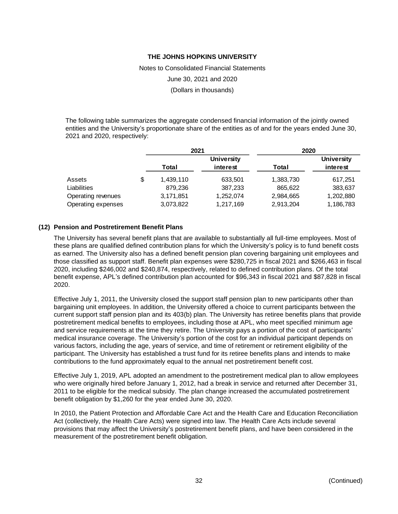Notes to Consolidated Financial Statements

June 30, 2021 and 2020

(Dollars in thousands)

The following table summarizes the aggregate condensed financial information of the jointly owned entities and the University's proportionate share of the entities as of and for the years ended June 30, 2021 and 2020, respectively:

|                    | 2021              |           | 2020      |                   |  |
|--------------------|-------------------|-----------|-----------|-------------------|--|
|                    | <b>University</b> |           |           | <b>University</b> |  |
|                    | Total             | interest  | Total     | interest          |  |
| Assets             | \$<br>1,439,110   | 633,501   | 1,383,730 | 617,251           |  |
| Liabilities        | 879,236           | 387,233   | 865,622   | 383,637           |  |
| Operating revenues | 3,171,851         | 1,252,074 | 2,984,665 | 1,202,880         |  |
| Operating expenses | 3,073,822         | 1,217,169 | 2,913,204 | 1,186,783         |  |

## **(12) Pension and Postretirement Benefit Plans**

The University has several benefit plans that are available to substantially all full-time employees. Most of these plans are qualified defined contribution plans for which the University's policy is to fund benefit costs as earned. The University also has a defined benefit pension plan covering bargaining unit employees and those classified as support staff. Benefit plan expenses were \$280,725 in fiscal 2021 and \$266,463 in fiscal 2020, including \$246,002 and \$240,874, respectively, related to defined contribution plans. Of the total benefit expense, APL's defined contribution plan accounted for \$96,343 in fiscal 2021 and \$87,828 in fiscal 2020.

Effective July 1, 2011, the University closed the support staff pension plan to new participants other than bargaining unit employees. In addition, the University offered a choice to current participants between the current support staff pension plan and its 403(b) plan. The University has retiree benefits plans that provide postretirement medical benefits to employees, including those at APL, who meet specified minimum age and service requirements at the time they retire. The University pays a portion of the cost of participants' medical insurance coverage. The University's portion of the cost for an individual participant depends on various factors, including the age, years of service, and time of retirement or retirement eligibility of the participant. The University has established a trust fund for its retiree benefits plans and intends to make contributions to the fund approximately equal to the annual net postretirement benefit cost.

Effective July 1, 2019, APL adopted an amendment to the postretirement medical plan to allow employees who were originally hired before January 1, 2012, had a break in service and returned after December 31, 2011 to be eligible for the medical subsidy. The plan change increased the accumulated postretirement benefit obligation by \$1,260 for the year ended June 30, 2020.

In 2010, the Patient Protection and Affordable Care Act and the Health Care and Education Reconciliation Act (collectively, the Health Care Acts) were signed into law. The Health Care Acts include several provisions that may affect the University's postretirement benefit plans, and have been considered in the measurement of the postretirement benefit obligation.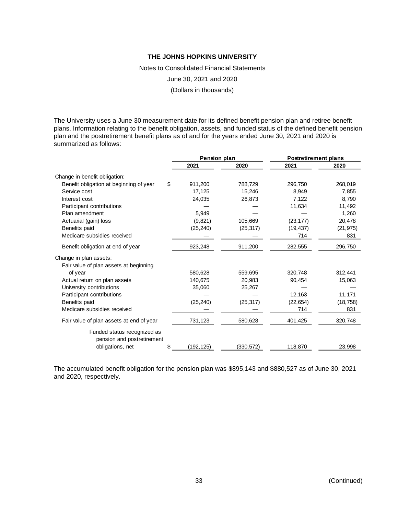Notes to Consolidated Financial Statements

June 30, 2021 and 2020

(Dollars in thousands)

The University uses a June 30 measurement date for its defined benefit pension plan and retiree benefit plans. Information relating to the benefit obligation, assets, and funded status of the defined benefit pension plan and the postretirement benefit plans as of and for the years ended June 30, 2021 and 2020 is summarized as follows:

|                 |           | <b>Postretirement plans</b> |           |  |
|-----------------|-----------|-----------------------------|-----------|--|
| 2021            | 2020      | 2021                        | 2020      |  |
|                 |           |                             |           |  |
| \$<br>911,200   | 788,729   | 296,750                     | 268,019   |  |
| 17,125          | 15,246    | 8,949                       | 7,855     |  |
|                 | 26,873    | 7,122                       | 8,790     |  |
|                 |           | 11,634                      | 11,492    |  |
| 5,949           |           |                             | 1,260     |  |
| (9,821)         | 105,669   | (23, 177)                   | 20,478    |  |
| (25, 240)       | (25, 317) | (19, 437)                   | (21, 975) |  |
|                 |           | 714                         | 831       |  |
| 923,248         | 911,200   | 282,555                     | 296,750   |  |
|                 |           |                             |           |  |
|                 |           |                             |           |  |
| 580,628         | 559,695   | 320,748                     | 312,441   |  |
| 140,675         | 20,983    | 90,454                      | 15,063    |  |
| 35,060          | 25,267    |                             |           |  |
|                 |           | 12,163                      | 11,171    |  |
| (25, 240)       | (25, 317) | (22, 654)                   | (18, 758) |  |
|                 |           | 714                         | 831       |  |
| 731,123         | 580,628   | 401,425                     | 320,748   |  |
|                 |           |                             |           |  |
| \$<br>(192,125) | (330,572) | 118,870                     | 23,998    |  |
|                 | 24,035    | Pension plan                |           |  |

The accumulated benefit obligation for the pension plan was \$895,143 and \$880,527 as of June 30, 2021 and 2020, respectively.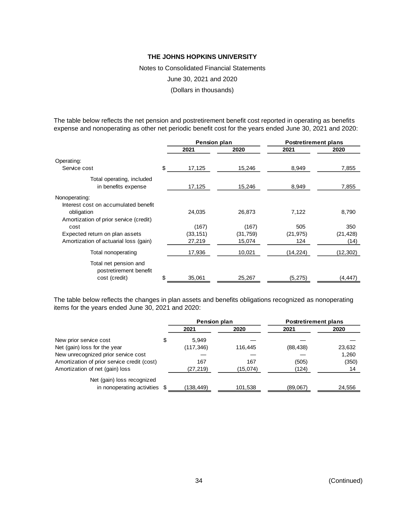Notes to Consolidated Financial Statements

June 30, 2021 and 2020

(Dollars in thousands)

The table below reflects the net pension and postretirement benefit cost reported in operating as benefits expense and nonoperating as other net periodic benefit cost for the years ended June 30, 2021 and 2020:

|                                                 | Pension plan |           | <b>Postretirement plans</b> |           |
|-------------------------------------------------|--------------|-----------|-----------------------------|-----------|
|                                                 | 2021         | 2020      | 2021                        | 2020      |
| Operating:                                      |              |           |                             |           |
| Service cost                                    | \$<br>17,125 | 15,246    | 8,949                       | 7,855     |
| Total operating, included                       |              |           |                             |           |
| in benefits expense                             | 17,125       | 15,246    | 8,949                       | 7,855     |
| Nonoperating:                                   |              |           |                             |           |
| Interest cost on accumulated benefit            |              |           |                             |           |
| obligation                                      | 24,035       | 26,873    | 7,122                       | 8,790     |
| Amortization of prior service (credit)          |              |           |                             |           |
| cost                                            | (167)        | (167)     | 505                         | 350       |
| Expected return on plan assets                  | (33, 151)    | (31, 759) | (21, 975)                   | (21, 428) |
| Amortization of actuarial loss (gain)           | 27,219       | 15,074    | 124                         | (14)      |
| Total nonoperating                              | 17,936       | 10,021    | (14,224)                    | (12, 302) |
| Total net pension and<br>postretirement benefit |              |           |                             |           |
| cost (credit)                                   | \$<br>35,061 | 25,267    | (5, 275)                    | (4,447)   |

The table below reflects the changes in plan assets and benefits obligations recognized as nonoperating items for the years ended June 30, 2021 and 2020:

|                                             | Pension plan |            |          | <b>Postretirement plans</b> |        |
|---------------------------------------------|--------------|------------|----------|-----------------------------|--------|
|                                             |              | 2021       | 2020     | 2021                        | 2020   |
| New prior service cost                      | S            | 5.949      |          |                             |        |
| Net (gain) loss for the year                |              | (117, 346) | 116.445  | (88, 438)                   | 23,632 |
| New unrecognized prior service cost         |              |            |          |                             | 1,260  |
| Amortization of prior service credit (cost) |              | 167        | 167      | (505)                       | (350)  |
| Amortization of net (gain) loss             |              | (27,219)   | (15,074) | (124)                       | 14     |
| Net (gain) loss recognized                  |              |            |          |                             |        |
| in nonoperating activities \$               |              | (138,449)  | 101,538  | (89,067)                    | 24,556 |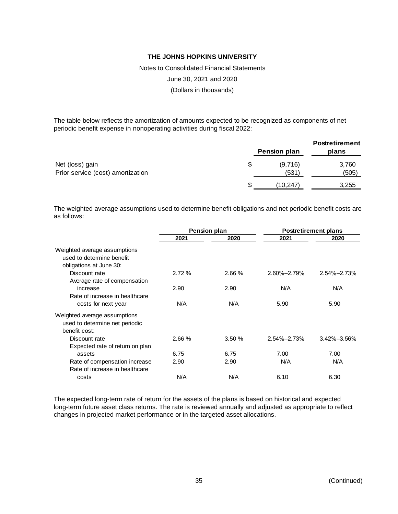Notes to Consolidated Financial Statements

June 30, 2021 and 2020

(Dollars in thousands)

The table below reflects the amortization of amounts expected to be recognized as components of net periodic benefit expense in nonoperating activities during fiscal 2022:

|                                                      |   | Pension plan     | <b>Postretirement</b><br>plans |
|------------------------------------------------------|---|------------------|--------------------------------|
| Net (loss) gain<br>Prior service (cost) amortization | S | (9,716)<br>(531) | 3,760<br>(505)                 |
|                                                      | S | (10, 247)        | 3,255                          |

The weighted average assumptions used to determine benefit obligations and net periodic benefit costs are as follows:

|                                                                                      |       | Pension plan | <b>Postretirement plans</b> |             |  |
|--------------------------------------------------------------------------------------|-------|--------------|-----------------------------|-------------|--|
|                                                                                      | 2021  | 2020         | 2021                        | 2020        |  |
| Weighted average assumptions<br>used to determine benefit<br>obligations at June 30: |       |              |                             |             |  |
| Discount rate<br>Average rate of compensation                                        | 2.72% | 2.66%        | 2.60%-2.79%                 | 2.54%-2.73% |  |
| increase                                                                             | 2.90  | 2.90         | N/A                         | N/A         |  |
| Rate of increase in healthcare                                                       |       |              |                             |             |  |
| costs for next year                                                                  | N/A   | N/A          | 5.90                        | 5.90        |  |
| Weighted average assumptions<br>used to determine net periodic<br>benefit cost:      |       |              |                             |             |  |
| Discount rate                                                                        | 2.66% | 3.50%        | $2.54\% - 2.73\%$           | 3.42%-3.56% |  |
| Expected rate of return on plan                                                      |       |              |                             |             |  |
| assets                                                                               | 6.75  | 6.75         | 7.00                        | 7.00        |  |
| Rate of compensation increase                                                        | 2.90  | 2.90         | N/A                         | N/A         |  |
| Rate of increase in healthcare                                                       |       |              |                             |             |  |
| costs                                                                                | N/A   | N/A          | 6.10                        | 6.30        |  |

The expected long-term rate of return for the assets of the plans is based on historical and expected long-term future asset class returns. The rate is reviewed annually and adjusted as appropriate to reflect changes in projected market performance or in the targeted asset allocations.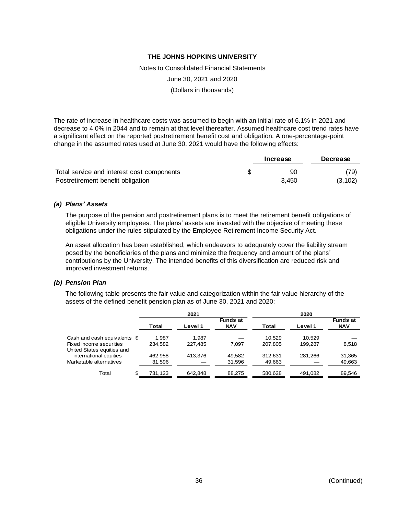Notes to Consolidated Financial Statements June 30, 2021 and 2020 (Dollars in thousands)

The rate of increase in healthcare costs was assumed to begin with an initial rate of 6.1% in 2021 and decrease to 4.0% in 2044 and to remain at that level thereafter. Assumed healthcare cost trend rates have a significant effect on the reported postretirement benefit cost and obligation. A one-percentage-point change in the assumed rates used at June 30, 2021 would have the following effects:

|                                            | Increase | Decrease |
|--------------------------------------------|----------|----------|
| Total service and interest cost components | 90       | (79)     |
| Postretirement benefit obligation          | 3.450    | (3, 102) |

#### *(a) Plans' Assets*

The purpose of the pension and postretirement plans is to meet the retirement benefit obligations of eligible University employees. The plans' assets are invested with the objective of meeting these obligations under the rules stipulated by the Employee Retirement Income Security Act.

An asset allocation has been established, which endeavors to adequately cover the liability stream posed by the beneficiaries of the plans and minimize the frequency and amount of the plans' contributions by the University. The intended benefits of this diversification are reduced risk and improved investment returns.

#### *(b) Pension Plan*

The following table presents the fair value and categorization within the fair value hierarchy of the assets of the defined benefit pension plan as of June 30, 2021 and 2020:

|                               |     |         | 2021    |                 |         | 2020    |                 |  |  |
|-------------------------------|-----|---------|---------|-----------------|---------|---------|-----------------|--|--|
|                               |     |         |         | <b>Funds at</b> |         |         | <b>Funds at</b> |  |  |
|                               |     | Total   | Level 1 | <b>NAV</b>      | Total   | Level 1 | <b>NAV</b>      |  |  |
| Cash and cash equivalents $$$ |     | 1.987   | 1.987   |                 | 10.529  | 10.529  |                 |  |  |
| Fixed income securities       |     | 234,582 | 227.485 | 7.097           | 207,805 | 199.287 | 8,518           |  |  |
| United States equities and    |     |         |         |                 |         |         |                 |  |  |
| international equities        |     | 462,958 | 413.376 | 49.582          | 312.631 | 281.266 | 31,365          |  |  |
| Marketable alternatives       |     | 31,596  |         | 31,596          | 49,663  |         | 49,663          |  |  |
| Total                         | \$. | 731,123 | 642.848 | 88.275          | 580.628 | 491.082 | 89,546          |  |  |
|                               |     |         |         |                 |         |         |                 |  |  |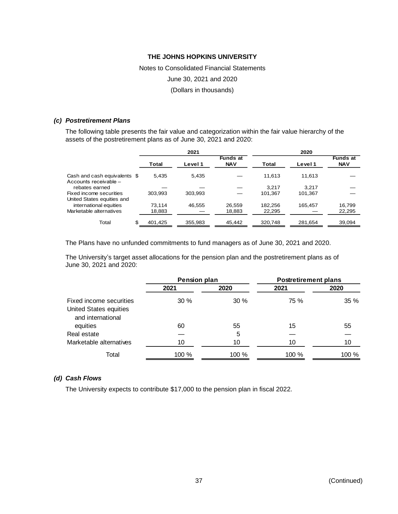Notes to Consolidated Financial Statements

June 30, 2021 and 2020

(Dollars in thousands)

#### *(c) Postretirement Plans*

The following table presents the fair value and categorization within the fair value hierarchy of the assets of the postretirement plans as of June 30, 2021 and 2020:

|                                                       |               | 2021    |                               |         | 2020    |                               |  |  |
|-------------------------------------------------------|---------------|---------|-------------------------------|---------|---------|-------------------------------|--|--|
|                                                       | <b>Total</b>  | Level 1 | <b>Funds at</b><br><b>NAV</b> | Total   | Level 1 | <b>Funds at</b><br><b>NAV</b> |  |  |
| Cash and cash equivalents \$<br>Accounts receivable - | 5.435         | 5.435   |                               | 11.613  | 11,613  |                               |  |  |
| rebates earned                                        |               |         |                               | 3.217   | 3.217   |                               |  |  |
| Fixed income securities<br>United States equities and | 303.993       | 303.993 |                               | 101.367 | 101.367 |                               |  |  |
| international equities                                | 73.114        | 46.555  | 26,559                        | 182.256 | 165.457 | 16,799                        |  |  |
| Marketable alternatives                               | 18,883        |         | 18,883                        | 22,295  |         | 22,295                        |  |  |
| Total                                                 | \$<br>401,425 | 355,983 | 45,442                        | 320,748 | 281,654 | 39,094                        |  |  |

The Plans have no unfunded commitments to fund managers as of June 30, 2021 and 2020.

The University's target asset allocations for the pension plan and the postretirement plans as of June 30, 2021 and 2020:

|                                                    | Pension plan |       | <b>Postretirement plans</b> |       |  |
|----------------------------------------------------|--------------|-------|-----------------------------|-------|--|
|                                                    | 2021         | 2020  | 2021                        | 2020  |  |
| Fixed income securities                            | 30%          | 30%   | 75 %                        | 35 %  |  |
| <b>United States equities</b><br>and international |              |       |                             |       |  |
| equities                                           | 60           | 55    | 15                          | 55    |  |
| Real estate                                        |              | 5     |                             |       |  |
| Marketable alternatives                            | 10           | 10    | 10                          | 10    |  |
| Total                                              | 100 %        | 100 % | 100 %                       | 100 % |  |

# *(d) Cash Flows*

The University expects to contribute \$17,000 to the pension plan in fiscal 2022.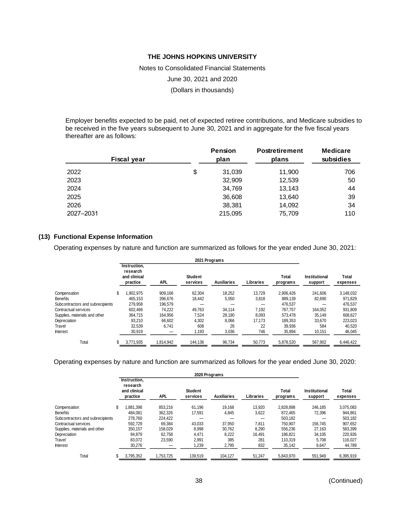Notes to Consolidated Financial Statements

June 30, 2021 and 2020

(Dollars in thousands)

Employer benefits expected to be paid, net of expected retiree contributions, and Medicare subsidies to be received in the five years subsequent to June 30, 2021 and in aggregate for the five fiscal years thereafter are as follows:

| <b>Fiscal year</b> | <b>Pension</b><br>plan | <b>Postretirement</b><br>plans | <b>Medicare</b><br>subsidies |
|--------------------|------------------------|--------------------------------|------------------------------|
| 2022               | \$<br>31,039           | 11,900                         | 706                          |
| 2023               | 32,909                 | 12,539                         | 50                           |
| 2024               | 34,769                 | 13,143                         | 44                           |
| 2025               | 36,608                 | 13,640                         | 39                           |
| 2026               | 38,381                 | 14,092                         | 34                           |
| 2027-2031          | 215,095                | 75,709                         | 110                          |

#### **(13) Functional Expense Information**

Operating expenses by nature and function are summarized as follows for the year ended June 30, 2021:

|                                  | 2021 Programs |                                                      |           |                            |                    |           |                   |                                 |                   |
|----------------------------------|---------------|------------------------------------------------------|-----------|----------------------------|--------------------|-----------|-------------------|---------------------------------|-------------------|
|                                  |               | Instruction,<br>research<br>and clinical<br>practice | APL       | <b>Student</b><br>services | <b>Auxiliaries</b> | Libraries | Total<br>programs | <b>Institutional</b><br>support | Total<br>expenses |
| Compensation                     | \$            | 1.902.975                                            | 909.166   | 62,304                     | 18.252             | 13.729    | 2.906.426         | 241.606                         | 3,148,032         |
| <b>Benefits</b>                  |               | 465.153                                              | 396,676   | 18,442                     | 5,050              | 3,818     | 889,139           | 82,690                          | 971,829           |
| Subcontractors and subrecipients |               | 279.958                                              | 196,579   |                            |                    |           | 476.537           |                                 | 476.537           |
| Contractual services             |               | 602.466                                              | 74.222    | 49.763                     | 34.114             | 7.192     | 767.757           | 164.052                         | 931.809           |
| Supplies, materials and other    |               | 364.715                                              | 164.956   | 7.524                      | 28.190             | 8.093     | 573.478           | 35.149                          | 608.627           |
| Depreciation                     |               | 93.210                                               | 66,602    | 4,302                      | 8,066              | 17.173    | 189,353           | 33,670                          | 223,023           |
| Travel                           |               | 32.539                                               | 6.741     | 608                        | 26                 | 22        | 39,936            | 584                             | 40.520            |
| <b>Interest</b>                  |               | 30,919                                               |           | 1,193                      | 3,036              | 746       | 35,894            | 10,151                          | 46,045            |
| Total                            | \$            | 3,771,935                                            | 1,814,942 | 144,136                    | 96,734             | 50,773    | 5,878,520         | 567,902                         | 6,446,422         |

Operating expenses by nature and function are summarized as follows for the year ended June 30, 2020:

|                                  |    |                                                      |           | 2020 Programs              |                    |           |                   |                          |                   |
|----------------------------------|----|------------------------------------------------------|-----------|----------------------------|--------------------|-----------|-------------------|--------------------------|-------------------|
|                                  |    | Instruction.<br>research<br>and clinical<br>practice | APL       | <b>Student</b><br>services | <b>Auxiliaries</b> | Libraries | Total<br>programs | Institutional<br>support | Total<br>expenses |
| Compensation                     | \$ | .881.398                                             | 853.216   | 61,196                     | 19.168             | 13,920    | 2.828.898         | 246.185                  | 3,075,083         |
| <b>Benefits</b>                  |    | 484.081                                              | 362.326   | 17,591                     | 4,845              | 3,622     | 872.465           | 72,396                   | 944.861           |
| Subcontractors and subrecipients |    | 278.760                                              | 224.422   |                            |                    |           | 503,182           |                          | 503,182           |
| Contractual services             |    | 592.729                                              | 69.384    | 43.033                     | 37.950             | 7.811     | 750.907           | 156.745                  | 907,652           |
| Supplies, materials and other    |    | 350.157                                              | 158.029   | 8,998                      | 30.762             | 8,290     | 556.236           | 27.163                   | 583,399           |
| Depreciation                     |    | 94.879                                               | 62.758    | 4.471                      | 8,222              | 16.491    | 186.821           | 34,105                   | 220,926           |
| Travel                           |    | 83.072                                               | 23.590    | 2.991                      | 385                | 281       | 110.319           | 5.708                    | 116.027           |
| <b>Interest</b>                  |    | 30,276                                               |           | 1,239                      | 2,795              | 832       | 35,142            | 9,647                    | 44,789            |
| Total                            | ъ  | 3.795.352                                            | 1.753.725 | 139.519                    | 104.127            | 51.247    | 5.843.970         | 551.949                  | 6.395.919         |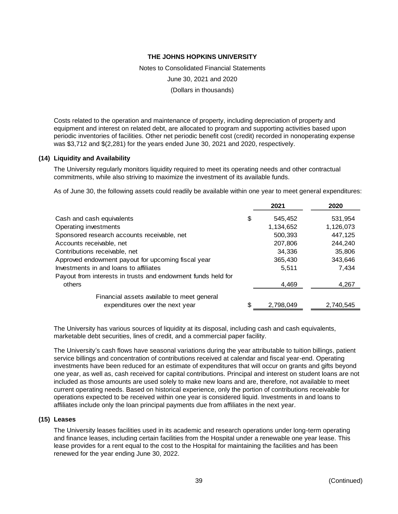Notes to Consolidated Financial Statements June 30, 2021 and 2020

(Dollars in thousands)

Costs related to the operation and maintenance of property, including depreciation of property and equipment and interest on related debt, are allocated to program and supporting activities based upon periodic inventories of facilities. Other net periodic benefit cost (credit) recorded in nonoperating expense was \$3,712 and \$(2,281) for the years ended June 30, 2021 and 2020, respectively.

# **(14) Liquidity and Availability**

The University regularly monitors liquidity required to meet its operating needs and other contractual commitments, while also striving to maximize the investment of its available funds.

As of June 30, the following assets could readily be available within one year to meet general expenditures:

|                                                              | 2021          | 2020      |
|--------------------------------------------------------------|---------------|-----------|
| Cash and cash equivalents                                    | \$<br>545,452 | 531,954   |
| Operating investments                                        | 1,134,652     | 1,126,073 |
| Sponsored research accounts receivable, net                  | 500,393       | 447,125   |
| Accounts receivable, net                                     | 207,806       | 244,240   |
| Contributions receivable, net                                | 34,336        | 35,806    |
| Approved endowment payout for upcoming fiscal year           | 365,430       | 343,646   |
| Investments in and loans to affiliates                       | 5,511         | 7.434     |
| Payout from interests in trusts and endowment funds held for |               |           |
| others                                                       | 4,469         | 4,267     |
| Financial assets available to meet general                   |               |           |
| expenditures over the next year                              | 2,798,049     | 2,740,545 |

The University has various sources of liquidity at its disposal, including cash and cash equivalents, marketable debt securities, lines of credit, and a commercial paper facility.

The University's cash flows have seasonal variations during the year attributable to tuition billings, patient service billings and concentration of contributions received at calendar and fiscal year-end. Operating investments have been reduced for an estimate of expenditures that will occur on grants and gifts beyond one year, as well as, cash received for capital contributions. Principal and interest on student loans are not included as those amounts are used solely to make new loans and are, therefore, not available to meet current operating needs. Based on historical experience, only the portion of contributions receivable for operations expected to be received within one year is considered liquid. Investments in and loans to affiliates include only the loan principal payments due from affiliates in the next year.

#### **(15) Leases**

The University leases facilities used in its academic and research operations under long-term operating and finance leases, including certain facilities from the Hospital under a renewable one year lease. This lease provides for a rent equal to the cost to the Hospital for maintaining the facilities and has been renewed for the year ending June 30, 2022.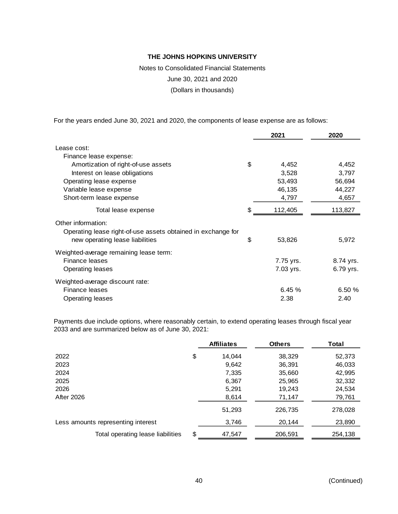Notes to Consolidated Financial Statements

June 30, 2021 and 2020

(Dollars in thousands)

For the years ended June 30, 2021 and 2020, the components of lease expense are as follows:

|                                                              | 2021          | 2020      |
|--------------------------------------------------------------|---------------|-----------|
| Lease cost:                                                  |               |           |
| Finance lease expense:                                       |               |           |
| Amortization of right-of-use assets                          | \$<br>4,452   | 4,452     |
| Interest on lease obligations                                | 3,528         | 3.797     |
| Operating lease expense                                      | 53,493        | 56,694    |
| Variable lease expense                                       | 46,135        | 44,227    |
| Short-term lease expense                                     | 4,797         | 4,657     |
| Total lease expense                                          | \$<br>112,405 | 113,827   |
| Other information:                                           |               |           |
| Operating lease right-of-use assets obtained in exchange for |               |           |
| new operating lease liabilities                              | \$<br>53,826  | 5,972     |
| Weighted-average remaining lease term:                       |               |           |
| Finance leases                                               | 7.75 yrs.     | 8.74 yrs. |
| Operating leases                                             | 7.03 yrs.     | 6.79 yrs. |
| Weighted-average discount rate:                              |               |           |
| Finance leases                                               | 6.45%         | 6.50%     |
| Operating leases                                             | 2.38          | 2.40      |
|                                                              |               |           |

Payments due include options, where reasonably certain, to extend operating leases through fiscal year 2033 and are summarized below as of June 30, 2021:

|                                    | <b>Affiliates</b> | <b>Others</b> | Total   |
|------------------------------------|-------------------|---------------|---------|
| 2022                               | \$<br>14,044      | 38,329        | 52,373  |
| 2023                               | 9,642             | 36,391        | 46,033  |
| 2024                               | 7,335             | 35,660        | 42,995  |
| 2025                               | 6,367             | 25,965        | 32,332  |
| 2026                               | 5,291             | 19,243        | 24,534  |
| After 2026                         | 8,614             | 71,147        | 79,761  |
|                                    | 51,293            | 226,735       | 278,028 |
| Less amounts representing interest | 3,746             | 20,144        | 23,890  |
| Total operating lease liabilities  | \$<br>47,547      | 206,591       | 254,138 |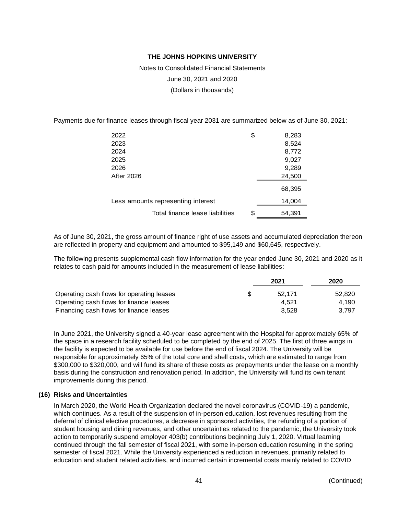Notes to Consolidated Financial Statements

June 30, 2021 and 2020

(Dollars in thousands)

Payments due for finance leases through fiscal year 2031 are summarized below as of June 30, 2021:

| 2022                               | \$<br>8,283  |
|------------------------------------|--------------|
| 2023                               | 8,524        |
| 2024                               | 8,772        |
| 2025                               | 9,027        |
| 2026                               | 9,289        |
| After 2026                         | 24,500       |
|                                    | 68,395       |
| Less amounts representing interest | 14,004       |
| Total finance lease liabilities    | \$<br>54,391 |

As of June 30, 2021, the gross amount of finance right of use assets and accumulated depreciation thereon are reflected in property and equipment and amounted to \$95,149 and \$60,645, respectively.

The following presents supplemental cash flow information for the year ended June 30, 2021 and 2020 as it relates to cash paid for amounts included in the measurement of lease liabilities:

|                                           | 2021   | 2020   |
|-------------------------------------------|--------|--------|
| Operating cash flows for operating leases | 52.171 | 52.820 |
| Operating cash flows for finance leases   | 4.521  | 4.190  |
| Financing cash flows for finance leases   | 3.528  | 3.797  |

In June 2021, the University signed a 40-year lease agreement with the Hospital for approximately 65% of the space in a research facility scheduled to be completed by the end of 2025. The first of three wings in the facility is expected to be available for use before the end of fiscal 2024. The University will be responsible for approximately 65% of the total core and shell costs, which are estimated to range from \$300,000 to \$320,000, and will fund its share of these costs as prepayments under the lease on a monthly basis during the construction and renovation period. In addition, the University will fund its own tenant improvements during this period.

#### **(16) Risks and Uncertainties**

In March 2020, the World Health Organization declared the novel coronavirus (COVID-19) a pandemic, which continues. As a result of the suspension of in-person education, lost revenues resulting from the deferral of clinical elective procedures, a decrease in sponsored activities, the refunding of a portion of student housing and dining revenues, and other uncertainties related to the pandemic, the University took action to temporarily suspend employer 403(b) contributions beginning July 1, 2020. Virtual learning continued through the fall semester of fiscal 2021, with some in-person education resuming in the spring semester of fiscal 2021. While the University experienced a reduction in revenues, primarily related to education and student related activities, and incurred certain incremental costs mainly related to COVID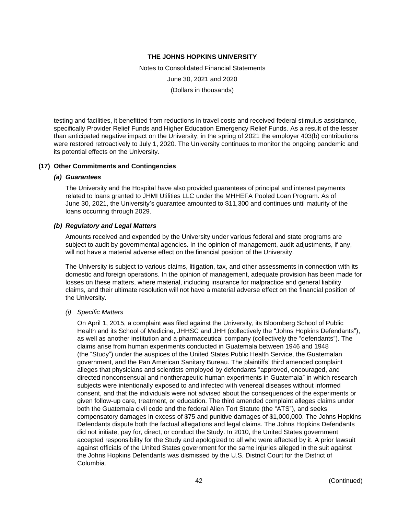Notes to Consolidated Financial Statements June 30, 2021 and 2020 (Dollars in thousands)

testing and facilities, it benefitted from reductions in travel costs and received federal stimulus assistance, specifically Provider Relief Funds and Higher Education Emergency Relief Funds. As a result of the lesser than anticipated negative impact on the University, in the spring of 2021 the employer 403(b) contributions were restored retroactively to July 1, 2020. The University continues to monitor the ongoing pandemic and its potential effects on the University.

## **(17) Other Commitments and Contingencies**

#### *(a) Guarantees*

The University and the Hospital have also provided guarantees of principal and interest payments related to loans granted to JHMI Utilities LLC under the MHHEFA Pooled Loan Program. As of June 30, 2021, the University's guarantee amounted to \$11,300 and continues until maturity of the loans occurring through 2029.

#### *(b) Regulatory and Legal Matters*

Amounts received and expended by the University under various federal and state programs are subject to audit by governmental agencies. In the opinion of management, audit adjustments, if any, will not have a material adverse effect on the financial position of the University.

The University is subject to various claims, litigation, tax, and other assessments in connection with its domestic and foreign operations. In the opinion of management, adequate provision has been made for losses on these matters, where material, including insurance for malpractice and general liability claims, and their ultimate resolution will not have a material adverse effect on the financial position of the University.

#### *(i) Specific Matters*

On April 1, 2015, a complaint was filed against the University, its Bloomberg School of Public Health and its School of Medicine, JHHSC and JHH (collectively the "Johns Hopkins Defendants"), as well as another institution and a pharmaceutical company (collectively the "defendants"). The claims arise from human experiments conducted in Guatemala between 1946 and 1948 (the "Study") under the auspices of the United States Public Health Service, the Guatemalan government, and the Pan American Sanitary Bureau. The plaintiffs' third amended complaint alleges that physicians and scientists employed by defendants "approved, encouraged, and directed nonconsensual and nontherapeutic human experiments in Guatemala" in which research subjects were intentionally exposed to and infected with venereal diseases without informed consent, and that the individuals were not advised about the consequences of the experiments or given follow-up care, treatment, or education. The third amended complaint alleges claims under both the Guatemala civil code and the federal Alien Tort Statute (the "ATS"), and seeks compensatory damages in excess of \$75 and punitive damages of \$1,000,000. The Johns Hopkins Defendants dispute both the factual allegations and legal claims. The Johns Hopkins Defendants did not initiate, pay for, direct, or conduct the Study. In 2010, the United States government accepted responsibility for the Study and apologized to all who were affected by it. A prior lawsuit against officials of the United States government for the same injuries alleged in the suit against the Johns Hopkins Defendants was dismissed by the U.S. District Court for the District of Columbia.